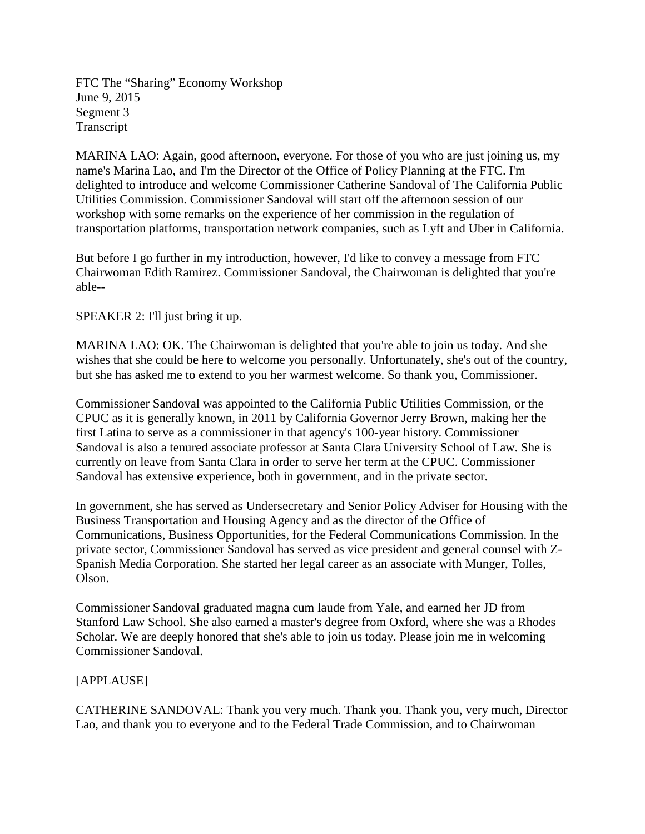FTC The "Sharing" Economy Workshop June 9, 2015 Segment 3 Transcript

MARINA LAO: Again, good afternoon, everyone. For those of you who are just joining us, my name's Marina Lao, and I'm the Director of the Office of Policy Planning at the FTC. I'm delighted to introduce and welcome Commissioner Catherine Sandoval of The California Public Utilities Commission. Commissioner Sandoval will start off the afternoon session of our workshop with some remarks on the experience of her commission in the regulation of transportation platforms, transportation network companies, such as Lyft and Uber in California.

But before I go further in my introduction, however, I'd like to convey a message from FTC Chairwoman Edith Ramirez. Commissioner Sandoval, the Chairwoman is delighted that you're able--

SPEAKER 2: I'll just bring it up.

MARINA LAO: OK. The Chairwoman is delighted that you're able to join us today. And she wishes that she could be here to welcome you personally. Unfortunately, she's out of the country, but she has asked me to extend to you her warmest welcome. So thank you, Commissioner.

Commissioner Sandoval was appointed to the California Public Utilities Commission, or the CPUC as it is generally known, in 2011 by California Governor Jerry Brown, making her the first Latina to serve as a commissioner in that agency's 100-year history. Commissioner Sandoval is also a tenured associate professor at Santa Clara University School of Law. She is currently on leave from Santa Clara in order to serve her term at the CPUC. Commissioner Sandoval has extensive experience, both in government, and in the private sector.

In government, she has served as Undersecretary and Senior Policy Adviser for Housing with the Business Transportation and Housing Agency and as the director of the Office of Communications, Business Opportunities, for the Federal Communications Commission. In the private sector, Commissioner Sandoval has served as vice president and general counsel with Z-Spanish Media Corporation. She started her legal career as an associate with Munger, Tolles, Olson.

Commissioner Sandoval graduated magna cum laude from Yale, and earned her JD from Stanford Law School. She also earned a master's degree from Oxford, where she was a Rhodes Scholar. We are deeply honored that she's able to join us today. Please join me in welcoming Commissioner Sandoval.

### [APPLAUSE]

CATHERINE SANDOVAL: Thank you very much. Thank you. Thank you, very much, Director Lao, and thank you to everyone and to the Federal Trade Commission, and to Chairwoman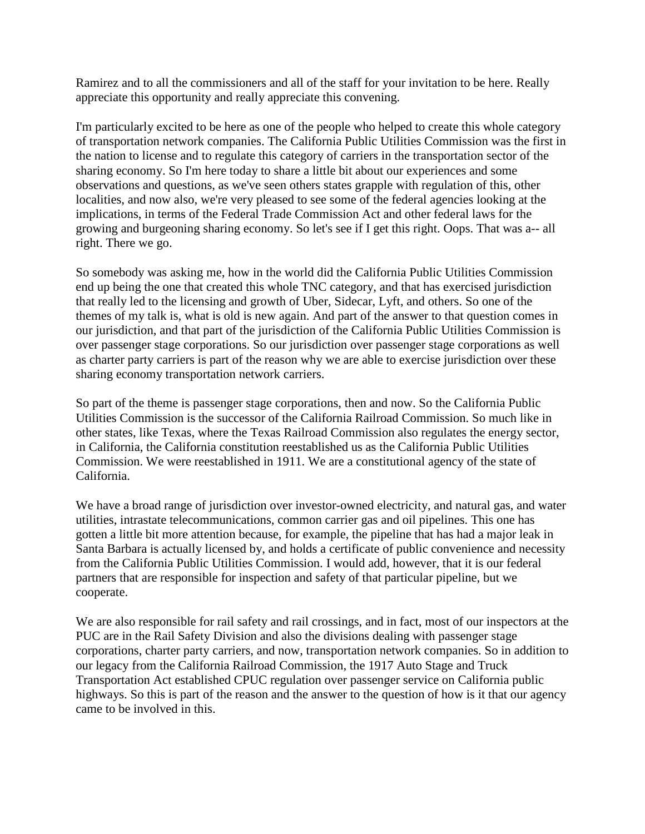Ramirez and to all the commissioners and all of the staff for your invitation to be here. Really appreciate this opportunity and really appreciate this convening.

I'm particularly excited to be here as one of the people who helped to create this whole category of transportation network companies. The California Public Utilities Commission was the first in the nation to license and to regulate this category of carriers in the transportation sector of the sharing economy. So I'm here today to share a little bit about our experiences and some observations and questions, as we've seen others states grapple with regulation of this, other localities, and now also, we're very pleased to see some of the federal agencies looking at the implications, in terms of the Federal Trade Commission Act and other federal laws for the growing and burgeoning sharing economy. So let's see if I get this right. Oops. That was a-- all right. There we go.

So somebody was asking me, how in the world did the California Public Utilities Commission end up being the one that created this whole TNC category, and that has exercised jurisdiction that really led to the licensing and growth of Uber, Sidecar, Lyft, and others. So one of the themes of my talk is, what is old is new again. And part of the answer to that question comes in our jurisdiction, and that part of the jurisdiction of the California Public Utilities Commission is over passenger stage corporations. So our jurisdiction over passenger stage corporations as well as charter party carriers is part of the reason why we are able to exercise jurisdiction over these sharing economy transportation network carriers.

So part of the theme is passenger stage corporations, then and now. So the California Public Utilities Commission is the successor of the California Railroad Commission. So much like in other states, like Texas, where the Texas Railroad Commission also regulates the energy sector, in California, the California constitution reestablished us as the California Public Utilities Commission. We were reestablished in 1911. We are a constitutional agency of the state of California.

We have a broad range of jurisdiction over investor-owned electricity, and natural gas, and water utilities, intrastate telecommunications, common carrier gas and oil pipelines. This one has gotten a little bit more attention because, for example, the pipeline that has had a major leak in Santa Barbara is actually licensed by, and holds a certificate of public convenience and necessity from the California Public Utilities Commission. I would add, however, that it is our federal partners that are responsible for inspection and safety of that particular pipeline, but we cooperate.

We are also responsible for rail safety and rail crossings, and in fact, most of our inspectors at the PUC are in the Rail Safety Division and also the divisions dealing with passenger stage corporations, charter party carriers, and now, transportation network companies. So in addition to our legacy from the California Railroad Commission, the 1917 Auto Stage and Truck Transportation Act established CPUC regulation over passenger service on California public highways. So this is part of the reason and the answer to the question of how is it that our agency came to be involved in this.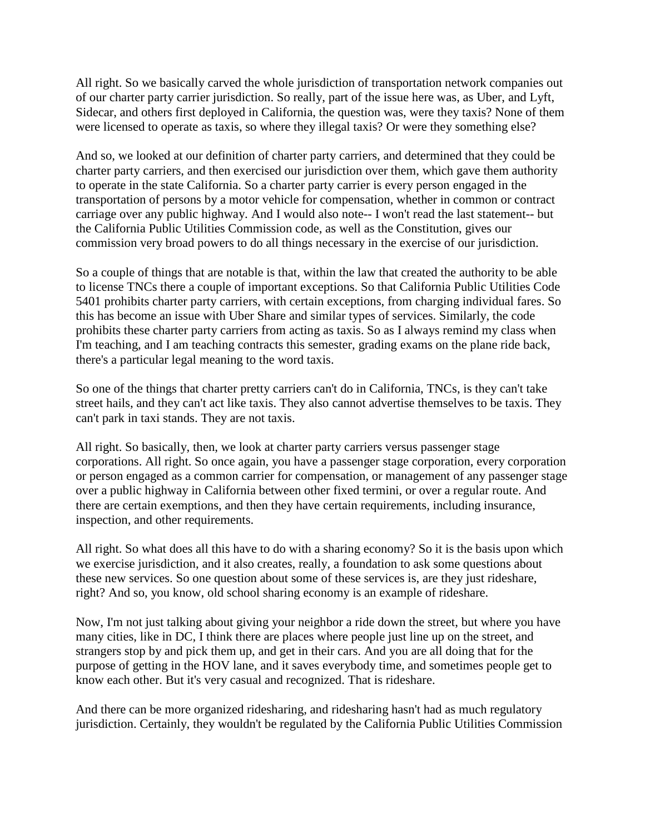All right. So we basically carved the whole jurisdiction of transportation network companies out of our charter party carrier jurisdiction. So really, part of the issue here was, as Uber, and Lyft, Sidecar, and others first deployed in California, the question was, were they taxis? None of them were licensed to operate as taxis, so where they illegal taxis? Or were they something else?

And so, we looked at our definition of charter party carriers, and determined that they could be charter party carriers, and then exercised our jurisdiction over them, which gave them authority to operate in the state California. So a charter party carrier is every person engaged in the transportation of persons by a motor vehicle for compensation, whether in common or contract carriage over any public highway. And I would also note-- I won't read the last statement-- but the California Public Utilities Commission code, as well as the Constitution, gives our commission very broad powers to do all things necessary in the exercise of our jurisdiction.

So a couple of things that are notable is that, within the law that created the authority to be able to license TNCs there a couple of important exceptions. So that California Public Utilities Code 5401 prohibits charter party carriers, with certain exceptions, from charging individual fares. So this has become an issue with Uber Share and similar types of services. Similarly, the code prohibits these charter party carriers from acting as taxis. So as I always remind my class when I'm teaching, and I am teaching contracts this semester, grading exams on the plane ride back, there's a particular legal meaning to the word taxis.

So one of the things that charter pretty carriers can't do in California, TNCs, is they can't take street hails, and they can't act like taxis. They also cannot advertise themselves to be taxis. They can't park in taxi stands. They are not taxis.

All right. So basically, then, we look at charter party carriers versus passenger stage corporations. All right. So once again, you have a passenger stage corporation, every corporation or person engaged as a common carrier for compensation, or management of any passenger stage over a public highway in California between other fixed termini, or over a regular route. And there are certain exemptions, and then they have certain requirements, including insurance, inspection, and other requirements.

All right. So what does all this have to do with a sharing economy? So it is the basis upon which we exercise jurisdiction, and it also creates, really, a foundation to ask some questions about these new services. So one question about some of these services is, are they just rideshare, right? And so, you know, old school sharing economy is an example of rideshare.

Now, I'm not just talking about giving your neighbor a ride down the street, but where you have many cities, like in DC, I think there are places where people just line up on the street, and strangers stop by and pick them up, and get in their cars. And you are all doing that for the purpose of getting in the HOV lane, and it saves everybody time, and sometimes people get to know each other. But it's very casual and recognized. That is rideshare.

And there can be more organized ridesharing, and ridesharing hasn't had as much regulatory jurisdiction. Certainly, they wouldn't be regulated by the California Public Utilities Commission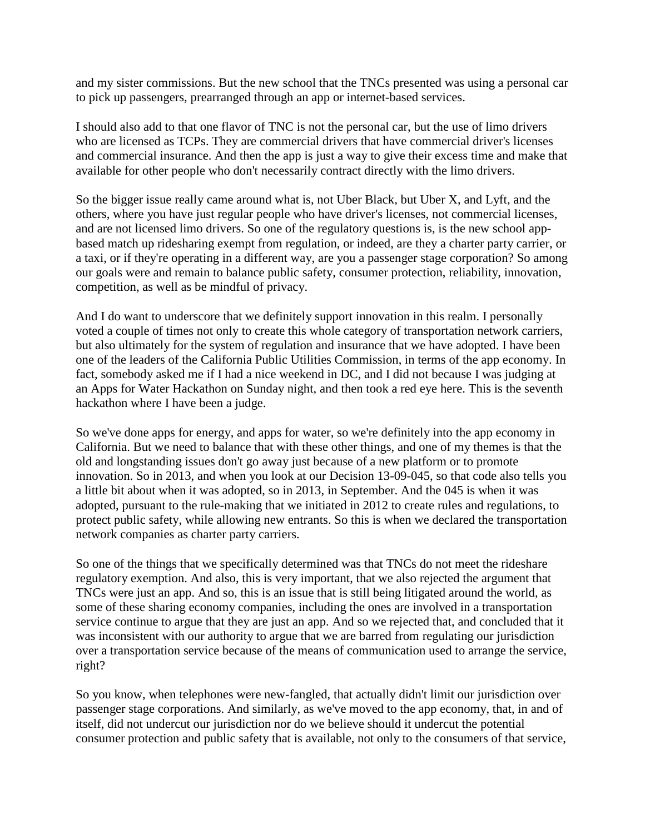and my sister commissions. But the new school that the TNCs presented was using a personal car to pick up passengers, prearranged through an app or internet-based services.

I should also add to that one flavor of TNC is not the personal car, but the use of limo drivers who are licensed as TCPs. They are commercial drivers that have commercial driver's licenses and commercial insurance. And then the app is just a way to give their excess time and make that available for other people who don't necessarily contract directly with the limo drivers.

So the bigger issue really came around what is, not Uber Black, but Uber X, and Lyft, and the others, where you have just regular people who have driver's licenses, not commercial licenses, and are not licensed limo drivers. So one of the regulatory questions is, is the new school appbased match up ridesharing exempt from regulation, or indeed, are they a charter party carrier, or a taxi, or if they're operating in a different way, are you a passenger stage corporation? So among our goals were and remain to balance public safety, consumer protection, reliability, innovation, competition, as well as be mindful of privacy.

And I do want to underscore that we definitely support innovation in this realm. I personally voted a couple of times not only to create this whole category of transportation network carriers, but also ultimately for the system of regulation and insurance that we have adopted. I have been one of the leaders of the California Public Utilities Commission, in terms of the app economy. In fact, somebody asked me if I had a nice weekend in DC, and I did not because I was judging at an Apps for Water Hackathon on Sunday night, and then took a red eye here. This is the seventh hackathon where I have been a judge.

So we've done apps for energy, and apps for water, so we're definitely into the app economy in California. But we need to balance that with these other things, and one of my themes is that the old and longstanding issues don't go away just because of a new platform or to promote innovation. So in 2013, and when you look at our Decision 13-09-045, so that code also tells you a little bit about when it was adopted, so in 2013, in September. And the 045 is when it was adopted, pursuant to the rule-making that we initiated in 2012 to create rules and regulations, to protect public safety, while allowing new entrants. So this is when we declared the transportation network companies as charter party carriers.

So one of the things that we specifically determined was that TNCs do not meet the rideshare regulatory exemption. And also, this is very important, that we also rejected the argument that TNCs were just an app. And so, this is an issue that is still being litigated around the world, as some of these sharing economy companies, including the ones are involved in a transportation service continue to argue that they are just an app. And so we rejected that, and concluded that it was inconsistent with our authority to argue that we are barred from regulating our jurisdiction over a transportation service because of the means of communication used to arrange the service, right?

So you know, when telephones were new-fangled, that actually didn't limit our jurisdiction over passenger stage corporations. And similarly, as we've moved to the app economy, that, in and of itself, did not undercut our jurisdiction nor do we believe should it undercut the potential consumer protection and public safety that is available, not only to the consumers of that service,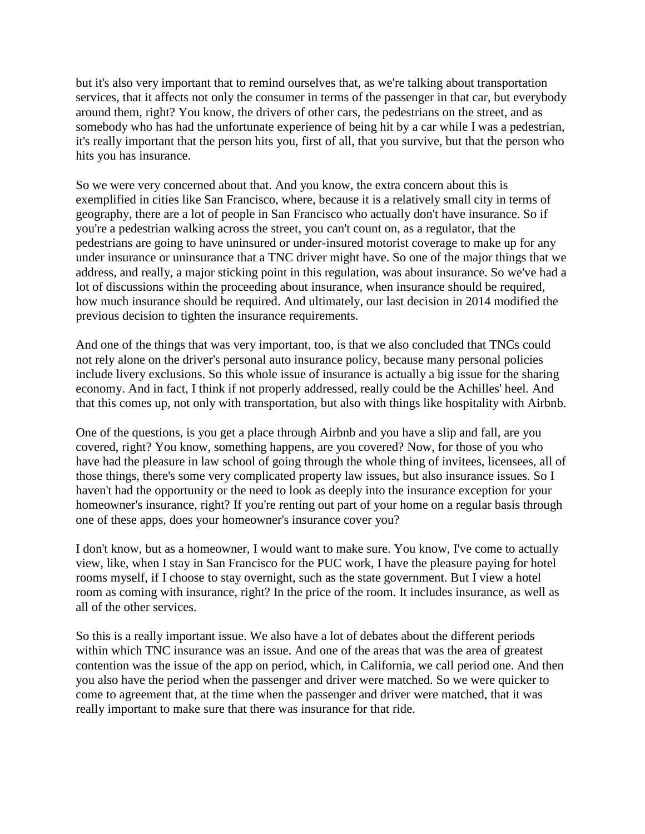but it's also very important that to remind ourselves that, as we're talking about transportation services, that it affects not only the consumer in terms of the passenger in that car, but everybody around them, right? You know, the drivers of other cars, the pedestrians on the street, and as somebody who has had the unfortunate experience of being hit by a car while I was a pedestrian, it's really important that the person hits you, first of all, that you survive, but that the person who hits you has insurance.

So we were very concerned about that. And you know, the extra concern about this is exemplified in cities like San Francisco, where, because it is a relatively small city in terms of geography, there are a lot of people in San Francisco who actually don't have insurance. So if you're a pedestrian walking across the street, you can't count on, as a regulator, that the pedestrians are going to have uninsured or under-insured motorist coverage to make up for any under insurance or uninsurance that a TNC driver might have. So one of the major things that we address, and really, a major sticking point in this regulation, was about insurance. So we've had a lot of discussions within the proceeding about insurance, when insurance should be required, how much insurance should be required. And ultimately, our last decision in 2014 modified the previous decision to tighten the insurance requirements.

And one of the things that was very important, too, is that we also concluded that TNCs could not rely alone on the driver's personal auto insurance policy, because many personal policies include livery exclusions. So this whole issue of insurance is actually a big issue for the sharing economy. And in fact, I think if not properly addressed, really could be the Achilles' heel. And that this comes up, not only with transportation, but also with things like hospitality with Airbnb.

One of the questions, is you get a place through Airbnb and you have a slip and fall, are you covered, right? You know, something happens, are you covered? Now, for those of you who have had the pleasure in law school of going through the whole thing of invitees, licensees, all of those things, there's some very complicated property law issues, but also insurance issues. So I haven't had the opportunity or the need to look as deeply into the insurance exception for your homeowner's insurance, right? If you're renting out part of your home on a regular basis through one of these apps, does your homeowner's insurance cover you?

I don't know, but as a homeowner, I would want to make sure. You know, I've come to actually view, like, when I stay in San Francisco for the PUC work, I have the pleasure paying for hotel rooms myself, if I choose to stay overnight, such as the state government. But I view a hotel room as coming with insurance, right? In the price of the room. It includes insurance, as well as all of the other services.

So this is a really important issue. We also have a lot of debates about the different periods within which TNC insurance was an issue. And one of the areas that was the area of greatest contention was the issue of the app on period, which, in California, we call period one. And then you also have the period when the passenger and driver were matched. So we were quicker to come to agreement that, at the time when the passenger and driver were matched, that it was really important to make sure that there was insurance for that ride.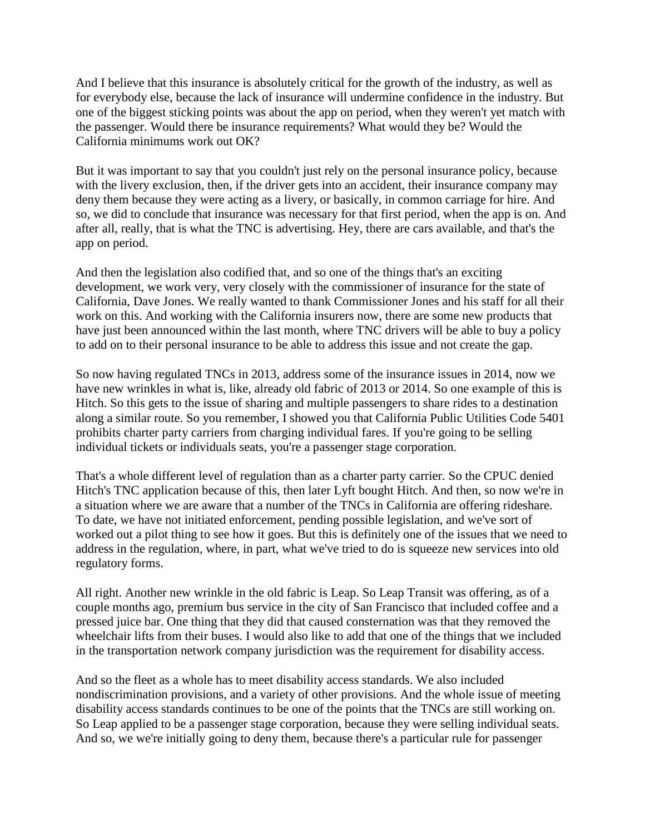And I believe that this insurance is absolutely critical for the growth of the industry, as well as for everybody else, because the lack of insurance will undermine confidence in the industry. But one of the biggest sticking points was about the app on period, when they weren't yet match with the passenger. Would there be insurance requirements? What would they be? Would the California minimums work out OK?

But it was important to say that you couldn't just rely on the personal insurance policy, because with the livery exclusion, then, if the driver gets into an accident, their insurance company may deny them because they were acting as a livery, or basically, in common carriage for hire. And so, we did to conclude that insurance was necessary for that first period, when the app is on. And after all, really, that is what the TNC is advertising. Hey, there are cars available, and that's the app on period.

And then the legislation also codified that, and so one of the things that's an exciting development, we work very, very closely with the commissioner of insurance for the state of California, Dave Jones. We really wanted to thank Commissioner Jones and his staff for all their work on this. And working with the California insurers now, there are some new products that have just been announced within the last month, where TNC drivers will be able to buy a policy to add on to their personal insurance to be able to address this issue and not create the gap.

So now having regulated TNCs in 2013, address some of the insurance issues in 2014, now we have new wrinkles in what is, like, already old fabric of 2013 or 2014. So one example of this is Hitch. So this gets to the issue of sharing and multiple passengers to share rides to a destination along a similar route. So you remember, I showed you that California Public Utilities Code 5401 prohibits charter party carriers from charging individual fares. If you're going to be selling individual tickets or individuals seats, you're a passenger stage corporation.

That's a whole different level of regulation than as a charter party carrier. So the CPUC denied Hitch's TNC application because of this, then later Lyft bought Hitch. And then, so now we're in a situation where we are aware that a number of the TNCs in California are offering rideshare. To date, we have not initiated enforcement, pending possible legislation, and we've sort of worked out a pilot thing to see how it goes. But this is definitely one of the issues that we need to address in the regulation, where, in part, what we've tried to do is squeeze new services into old regulatory forms.

All right. Another new wrinkle in the old fabric is Leap. So Leap Transit was offering, as of a couple months ago, premium bus service in the city of San Francisco that included coffee and a pressed juice bar. One thing that they did that caused consternation was that they removed the wheelchair lifts from their buses. I would also like to add that one of the things that we included in the transportation network company jurisdiction was the requirement for disability access.

And so the fleet as a whole has to meet disability access standards. We also included nondiscrimination provisions, and a variety of other provisions. And the whole issue of meeting disability access standards continues to be one of the points that the TNCs are still working on. So Leap applied to be a passenger stage corporation, because they were selling individual seats. And so, we we're initially going to deny them, because there's a particular rule for passenger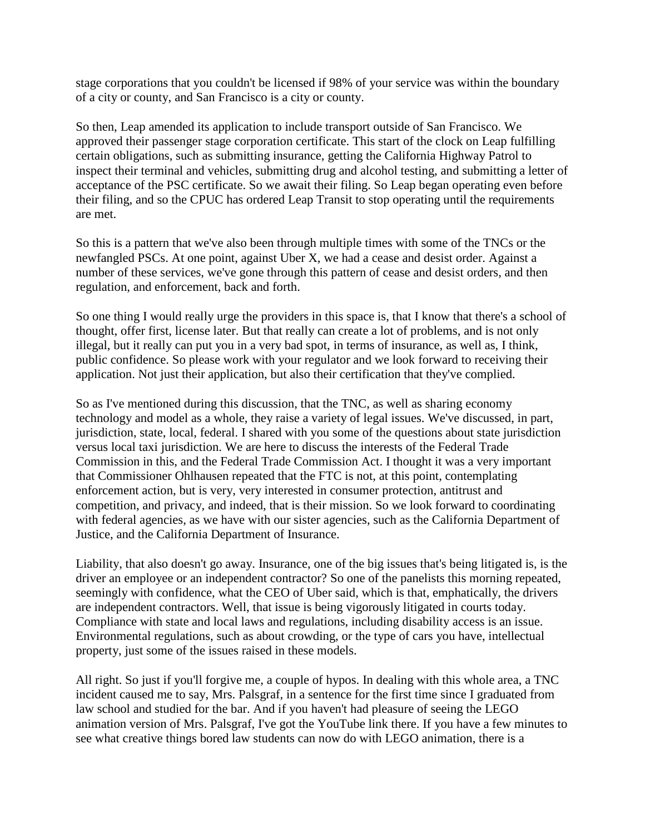stage corporations that you couldn't be licensed if 98% of your service was within the boundary of a city or county, and San Francisco is a city or county.

So then, Leap amended its application to include transport outside of San Francisco. We approved their passenger stage corporation certificate. This start of the clock on Leap fulfilling certain obligations, such as submitting insurance, getting the California Highway Patrol to inspect their terminal and vehicles, submitting drug and alcohol testing, and submitting a letter of acceptance of the PSC certificate. So we await their filing. So Leap began operating even before their filing, and so the CPUC has ordered Leap Transit to stop operating until the requirements are met.

So this is a pattern that we've also been through multiple times with some of the TNCs or the newfangled PSCs. At one point, against Uber X, we had a cease and desist order. Against a number of these services, we've gone through this pattern of cease and desist orders, and then regulation, and enforcement, back and forth.

So one thing I would really urge the providers in this space is, that I know that there's a school of thought, offer first, license later. But that really can create a lot of problems, and is not only illegal, but it really can put you in a very bad spot, in terms of insurance, as well as, I think, public confidence. So please work with your regulator and we look forward to receiving their application. Not just their application, but also their certification that they've complied.

So as I've mentioned during this discussion, that the TNC, as well as sharing economy technology and model as a whole, they raise a variety of legal issues. We've discussed, in part, jurisdiction, state, local, federal. I shared with you some of the questions about state jurisdiction versus local taxi jurisdiction. We are here to discuss the interests of the Federal Trade Commission in this, and the Federal Trade Commission Act. I thought it was a very important that Commissioner Ohlhausen repeated that the FTC is not, at this point, contemplating enforcement action, but is very, very interested in consumer protection, antitrust and competition, and privacy, and indeed, that is their mission. So we look forward to coordinating with federal agencies, as we have with our sister agencies, such as the California Department of Justice, and the California Department of Insurance.

Liability, that also doesn't go away. Insurance, one of the big issues that's being litigated is, is the driver an employee or an independent contractor? So one of the panelists this morning repeated, seemingly with confidence, what the CEO of Uber said, which is that, emphatically, the drivers are independent contractors. Well, that issue is being vigorously litigated in courts today. Compliance with state and local laws and regulations, including disability access is an issue. Environmental regulations, such as about crowding, or the type of cars you have, intellectual property, just some of the issues raised in these models.

All right. So just if you'll forgive me, a couple of hypos. In dealing with this whole area, a TNC incident caused me to say, Mrs. Palsgraf, in a sentence for the first time since I graduated from law school and studied for the bar. And if you haven't had pleasure of seeing the LEGO animation version of Mrs. Palsgraf, I've got the YouTube link there. If you have a few minutes to see what creative things bored law students can now do with LEGO animation, there is a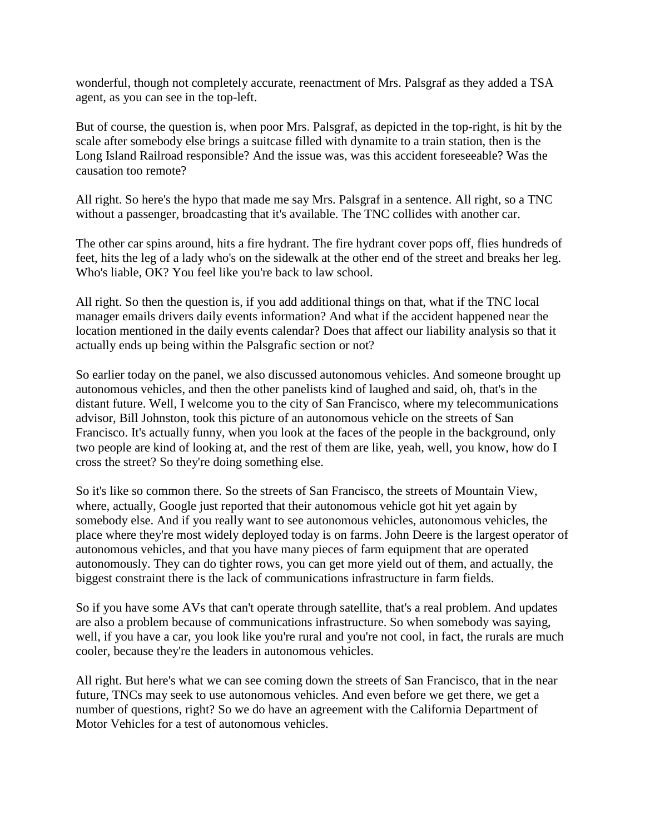wonderful, though not completely accurate, reenactment of Mrs. Palsgraf as they added a TSA agent, as you can see in the top-left.

But of course, the question is, when poor Mrs. Palsgraf, as depicted in the top-right, is hit by the scale after somebody else brings a suitcase filled with dynamite to a train station, then is the Long Island Railroad responsible? And the issue was, was this accident foreseeable? Was the causation too remote?

All right. So here's the hypo that made me say Mrs. Palsgraf in a sentence. All right, so a TNC without a passenger, broadcasting that it's available. The TNC collides with another car.

The other car spins around, hits a fire hydrant. The fire hydrant cover pops off, flies hundreds of feet, hits the leg of a lady who's on the sidewalk at the other end of the street and breaks her leg. Who's liable, OK? You feel like you're back to law school.

All right. So then the question is, if you add additional things on that, what if the TNC local manager emails drivers daily events information? And what if the accident happened near the location mentioned in the daily events calendar? Does that affect our liability analysis so that it actually ends up being within the Palsgrafic section or not?

So earlier today on the panel, we also discussed autonomous vehicles. And someone brought up autonomous vehicles, and then the other panelists kind of laughed and said, oh, that's in the distant future. Well, I welcome you to the city of San Francisco, where my telecommunications advisor, Bill Johnston, took this picture of an autonomous vehicle on the streets of San Francisco. It's actually funny, when you look at the faces of the people in the background, only two people are kind of looking at, and the rest of them are like, yeah, well, you know, how do I cross the street? So they're doing something else.

So it's like so common there. So the streets of San Francisco, the streets of Mountain View, where, actually, Google just reported that their autonomous vehicle got hit yet again by somebody else. And if you really want to see autonomous vehicles, autonomous vehicles, the place where they're most widely deployed today is on farms. John Deere is the largest operator of autonomous vehicles, and that you have many pieces of farm equipment that are operated autonomously. They can do tighter rows, you can get more yield out of them, and actually, the biggest constraint there is the lack of communications infrastructure in farm fields.

So if you have some AVs that can't operate through satellite, that's a real problem. And updates are also a problem because of communications infrastructure. So when somebody was saying, well, if you have a car, you look like you're rural and you're not cool, in fact, the rurals are much cooler, because they're the leaders in autonomous vehicles.

All right. But here's what we can see coming down the streets of San Francisco, that in the near future, TNCs may seek to use autonomous vehicles. And even before we get there, we get a number of questions, right? So we do have an agreement with the California Department of Motor Vehicles for a test of autonomous vehicles.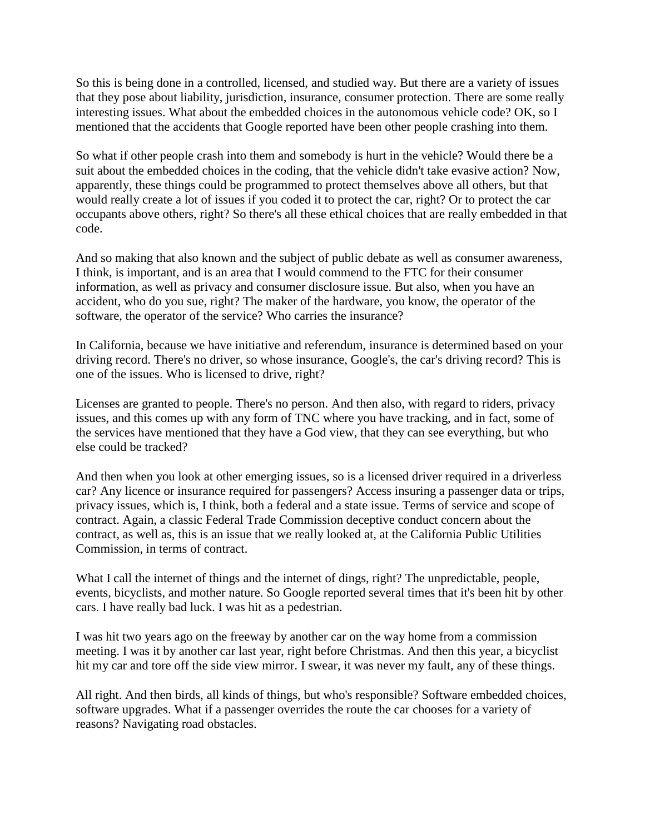So this is being done in a controlled, licensed, and studied way. But there are a variety of issues that they pose about liability, jurisdiction, insurance, consumer protection. There are some really interesting issues. What about the embedded choices in the autonomous vehicle code? OK, so I mentioned that the accidents that Google reported have been other people crashing into them.

So what if other people crash into them and somebody is hurt in the vehicle? Would there be a suit about the embedded choices in the coding, that the vehicle didn't take evasive action? Now, apparently, these things could be programmed to protect themselves above all others, but that would really create a lot of issues if you coded it to protect the car, right? Or to protect the car occupants above others, right? So there's all these ethical choices that are really embedded in that code.

And so making that also known and the subject of public debate as well as consumer awareness, I think, is important, and is an area that I would commend to the FTC for their consumer information, as well as privacy and consumer disclosure issue. But also, when you have an accident, who do you sue, right? The maker of the hardware, you know, the operator of the software, the operator of the service? Who carries the insurance?

In California, because we have initiative and referendum, insurance is determined based on your driving record. There's no driver, so whose insurance, Google's, the car's driving record? This is one of the issues. Who is licensed to drive, right?

Licenses are granted to people. There's no person. And then also, with regard to riders, privacy issues, and this comes up with any form of TNC where you have tracking, and in fact, some of the services have mentioned that they have a God view, that they can see everything, but who else could be tracked?

And then when you look at other emerging issues, so is a licensed driver required in a driverless car? Any licence or insurance required for passengers? Access insuring a passenger data or trips, privacy issues, which is, I think, both a federal and a state issue. Terms of service and scope of contract. Again, a classic Federal Trade Commission deceptive conduct concern about the contract, as well as, this is an issue that we really looked at, at the California Public Utilities Commission, in terms of contract.

What I call the internet of things and the internet of dings, right? The unpredictable, people, events, bicyclists, and mother nature. So Google reported several times that it's been hit by other cars. I have really bad luck. I was hit as a pedestrian.

I was hit two years ago on the freeway by another car on the way home from a commission meeting. I was it by another car last year, right before Christmas. And then this year, a bicyclist hit my car and tore off the side view mirror. I swear, it was never my fault, any of these things.

All right. And then birds, all kinds of things, but who's responsible? Software embedded choices, software upgrades. What if a passenger overrides the route the car chooses for a variety of reasons? Navigating road obstacles.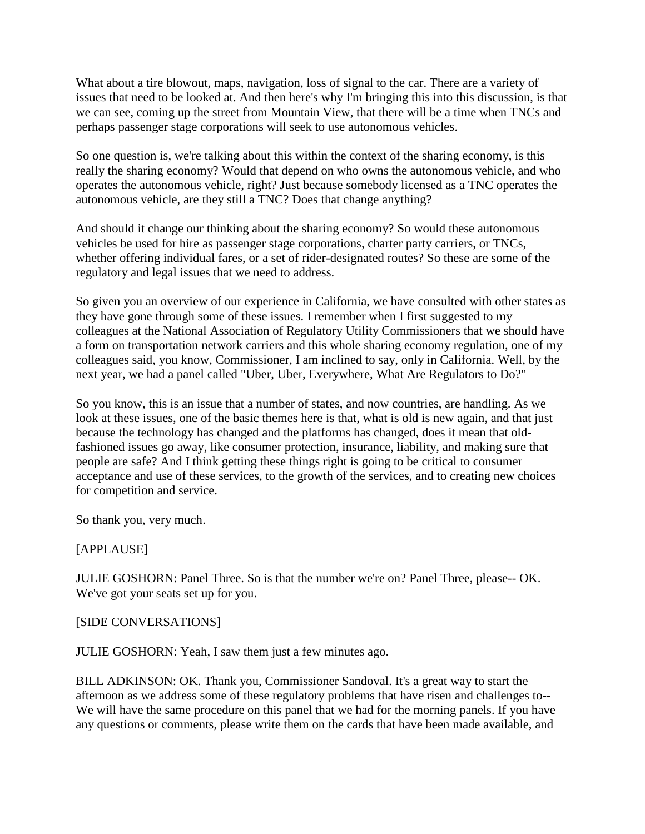What about a tire blowout, maps, navigation, loss of signal to the car. There are a variety of issues that need to be looked at. And then here's why I'm bringing this into this discussion, is that we can see, coming up the street from Mountain View, that there will be a time when TNCs and perhaps passenger stage corporations will seek to use autonomous vehicles.

So one question is, we're talking about this within the context of the sharing economy, is this really the sharing economy? Would that depend on who owns the autonomous vehicle, and who operates the autonomous vehicle, right? Just because somebody licensed as a TNC operates the autonomous vehicle, are they still a TNC? Does that change anything?

And should it change our thinking about the sharing economy? So would these autonomous vehicles be used for hire as passenger stage corporations, charter party carriers, or TNCs, whether offering individual fares, or a set of rider-designated routes? So these are some of the regulatory and legal issues that we need to address.

So given you an overview of our experience in California, we have consulted with other states as they have gone through some of these issues. I remember when I first suggested to my colleagues at the National Association of Regulatory Utility Commissioners that we should have a form on transportation network carriers and this whole sharing economy regulation, one of my colleagues said, you know, Commissioner, I am inclined to say, only in California. Well, by the next year, we had a panel called "Uber, Uber, Everywhere, What Are Regulators to Do?"

So you know, this is an issue that a number of states, and now countries, are handling. As we look at these issues, one of the basic themes here is that, what is old is new again, and that just because the technology has changed and the platforms has changed, does it mean that oldfashioned issues go away, like consumer protection, insurance, liability, and making sure that people are safe? And I think getting these things right is going to be critical to consumer acceptance and use of these services, to the growth of the services, and to creating new choices for competition and service.

So thank you, very much.

### [APPLAUSE]

JULIE GOSHORN: Panel Three. So is that the number we're on? Panel Three, please-- OK. We've got your seats set up for you.

### [SIDE CONVERSATIONS]

JULIE GOSHORN: Yeah, I saw them just a few minutes ago.

BILL ADKINSON: OK. Thank you, Commissioner Sandoval. It's a great way to start the afternoon as we address some of these regulatory problems that have risen and challenges to-- We will have the same procedure on this panel that we had for the morning panels. If you have any questions or comments, please write them on the cards that have been made available, and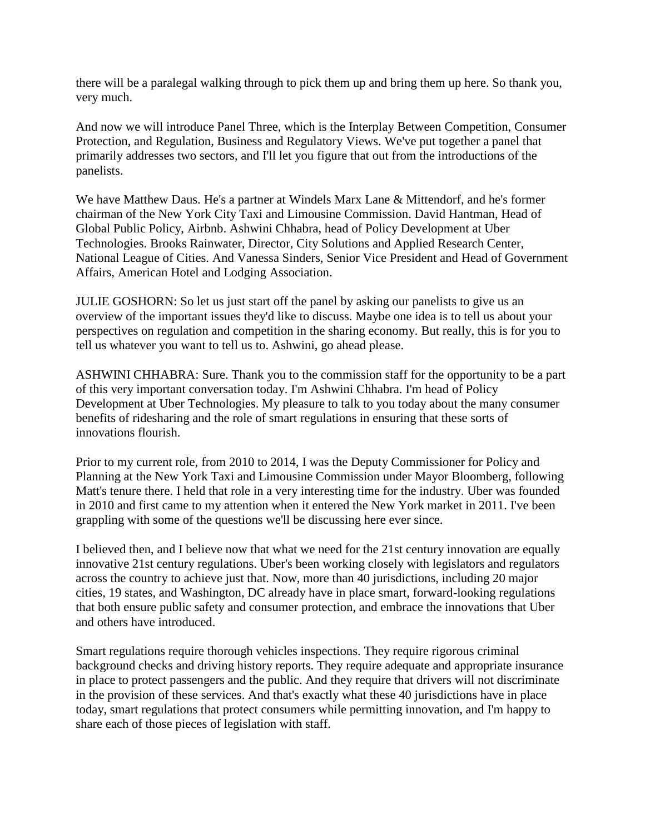there will be a paralegal walking through to pick them up and bring them up here. So thank you, very much.

And now we will introduce Panel Three, which is the Interplay Between Competition, Consumer Protection, and Regulation, Business and Regulatory Views. We've put together a panel that primarily addresses two sectors, and I'll let you figure that out from the introductions of the panelists.

We have Matthew Daus. He's a partner at Windels Marx Lane & Mittendorf, and he's former chairman of the New York City Taxi and Limousine Commission. David Hantman, Head of Global Public Policy, Airbnb. Ashwini Chhabra, head of Policy Development at Uber Technologies. Brooks Rainwater, Director, City Solutions and Applied Research Center, National League of Cities. And Vanessa Sinders, Senior Vice President and Head of Government Affairs, American Hotel and Lodging Association.

JULIE GOSHORN: So let us just start off the panel by asking our panelists to give us an overview of the important issues they'd like to discuss. Maybe one idea is to tell us about your perspectives on regulation and competition in the sharing economy. But really, this is for you to tell us whatever you want to tell us to. Ashwini, go ahead please.

ASHWINI CHHABRA: Sure. Thank you to the commission staff for the opportunity to be a part of this very important conversation today. I'm Ashwini Chhabra. I'm head of Policy Development at Uber Technologies. My pleasure to talk to you today about the many consumer benefits of ridesharing and the role of smart regulations in ensuring that these sorts of innovations flourish.

Prior to my current role, from 2010 to 2014, I was the Deputy Commissioner for Policy and Planning at the New York Taxi and Limousine Commission under Mayor Bloomberg, following Matt's tenure there. I held that role in a very interesting time for the industry. Uber was founded in 2010 and first came to my attention when it entered the New York market in 2011. I've been grappling with some of the questions we'll be discussing here ever since.

I believed then, and I believe now that what we need for the 21st century innovation are equally innovative 21st century regulations. Uber's been working closely with legislators and regulators across the country to achieve just that. Now, more than 40 jurisdictions, including 20 major cities, 19 states, and Washington, DC already have in place smart, forward-looking regulations that both ensure public safety and consumer protection, and embrace the innovations that Uber and others have introduced.

Smart regulations require thorough vehicles inspections. They require rigorous criminal background checks and driving history reports. They require adequate and appropriate insurance in place to protect passengers and the public. And they require that drivers will not discriminate in the provision of these services. And that's exactly what these 40 jurisdictions have in place today, smart regulations that protect consumers while permitting innovation, and I'm happy to share each of those pieces of legislation with staff.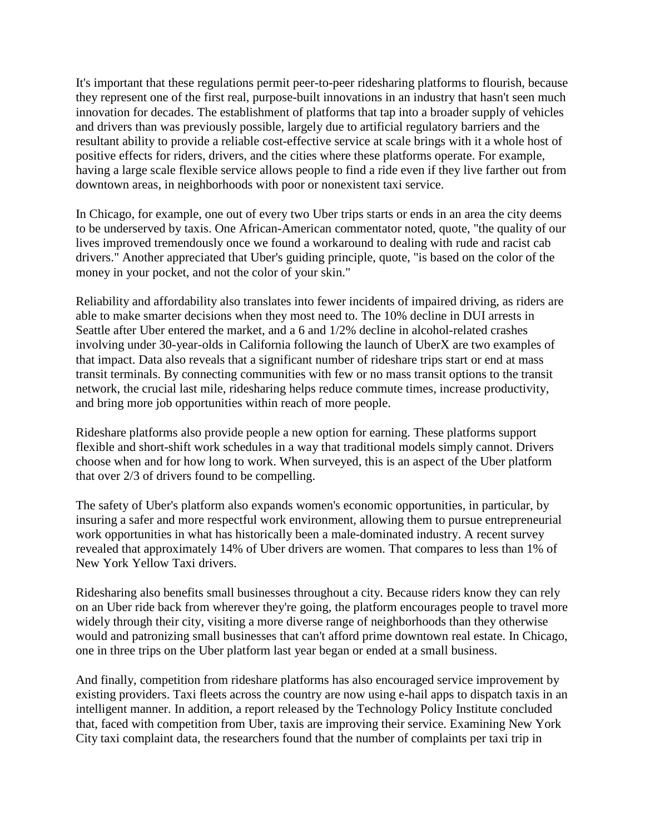It's important that these regulations permit peer-to-peer ridesharing platforms to flourish, because they represent one of the first real, purpose-built innovations in an industry that hasn't seen much innovation for decades. The establishment of platforms that tap into a broader supply of vehicles and drivers than was previously possible, largely due to artificial regulatory barriers and the resultant ability to provide a reliable cost-effective service at scale brings with it a whole host of positive effects for riders, drivers, and the cities where these platforms operate. For example, having a large scale flexible service allows people to find a ride even if they live farther out from downtown areas, in neighborhoods with poor or nonexistent taxi service.

In Chicago, for example, one out of every two Uber trips starts or ends in an area the city deems to be underserved by taxis. One African-American commentator noted, quote, "the quality of our lives improved tremendously once we found a workaround to dealing with rude and racist cab drivers." Another appreciated that Uber's guiding principle, quote, "is based on the color of the money in your pocket, and not the color of your skin."

Reliability and affordability also translates into fewer incidents of impaired driving, as riders are able to make smarter decisions when they most need to. The 10% decline in DUI arrests in Seattle after Uber entered the market, and a 6 and 1/2% decline in alcohol-related crashes involving under 30-year-olds in California following the launch of UberX are two examples of that impact. Data also reveals that a significant number of rideshare trips start or end at mass transit terminals. By connecting communities with few or no mass transit options to the transit network, the crucial last mile, ridesharing helps reduce commute times, increase productivity, and bring more job opportunities within reach of more people.

Rideshare platforms also provide people a new option for earning. These platforms support flexible and short-shift work schedules in a way that traditional models simply cannot. Drivers choose when and for how long to work. When surveyed, this is an aspect of the Uber platform that over 2/3 of drivers found to be compelling.

The safety of Uber's platform also expands women's economic opportunities, in particular, by insuring a safer and more respectful work environment, allowing them to pursue entrepreneurial work opportunities in what has historically been a male-dominated industry. A recent survey revealed that approximately 14% of Uber drivers are women. That compares to less than 1% of New York Yellow Taxi drivers.

Ridesharing also benefits small businesses throughout a city. Because riders know they can rely on an Uber ride back from wherever they're going, the platform encourages people to travel more widely through their city, visiting a more diverse range of neighborhoods than they otherwise would and patronizing small businesses that can't afford prime downtown real estate. In Chicago, one in three trips on the Uber platform last year began or ended at a small business.

And finally, competition from rideshare platforms has also encouraged service improvement by existing providers. Taxi fleets across the country are now using e-hail apps to dispatch taxis in an intelligent manner. In addition, a report released by the Technology Policy Institute concluded that, faced with competition from Uber, taxis are improving their service. Examining New York City taxi complaint data, the researchers found that the number of complaints per taxi trip in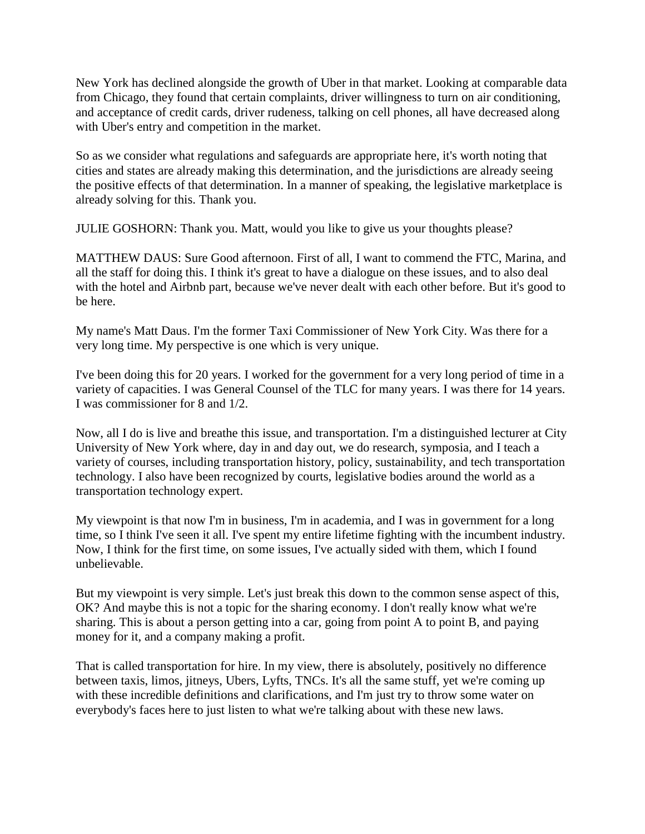New York has declined alongside the growth of Uber in that market. Looking at comparable data from Chicago, they found that certain complaints, driver willingness to turn on air conditioning, and acceptance of credit cards, driver rudeness, talking on cell phones, all have decreased along with Uber's entry and competition in the market.

So as we consider what regulations and safeguards are appropriate here, it's worth noting that cities and states are already making this determination, and the jurisdictions are already seeing the positive effects of that determination. In a manner of speaking, the legislative marketplace is already solving for this. Thank you.

JULIE GOSHORN: Thank you. Matt, would you like to give us your thoughts please?

MATTHEW DAUS: Sure Good afternoon. First of all, I want to commend the FTC, Marina, and all the staff for doing this. I think it's great to have a dialogue on these issues, and to also deal with the hotel and Airbnb part, because we've never dealt with each other before. But it's good to be here.

My name's Matt Daus. I'm the former Taxi Commissioner of New York City. Was there for a very long time. My perspective is one which is very unique.

I've been doing this for 20 years. I worked for the government for a very long period of time in a variety of capacities. I was General Counsel of the TLC for many years. I was there for 14 years. I was commissioner for 8 and 1/2.

Now, all I do is live and breathe this issue, and transportation. I'm a distinguished lecturer at City University of New York where, day in and day out, we do research, symposia, and I teach a variety of courses, including transportation history, policy, sustainability, and tech transportation technology. I also have been recognized by courts, legislative bodies around the world as a transportation technology expert.

My viewpoint is that now I'm in business, I'm in academia, and I was in government for a long time, so I think I've seen it all. I've spent my entire lifetime fighting with the incumbent industry. Now, I think for the first time, on some issues, I've actually sided with them, which I found unbelievable.

But my viewpoint is very simple. Let's just break this down to the common sense aspect of this, OK? And maybe this is not a topic for the sharing economy. I don't really know what we're sharing. This is about a person getting into a car, going from point A to point B, and paying money for it, and a company making a profit.

That is called transportation for hire. In my view, there is absolutely, positively no difference between taxis, limos, jitneys, Ubers, Lyfts, TNCs. It's all the same stuff, yet we're coming up with these incredible definitions and clarifications, and I'm just try to throw some water on everybody's faces here to just listen to what we're talking about with these new laws.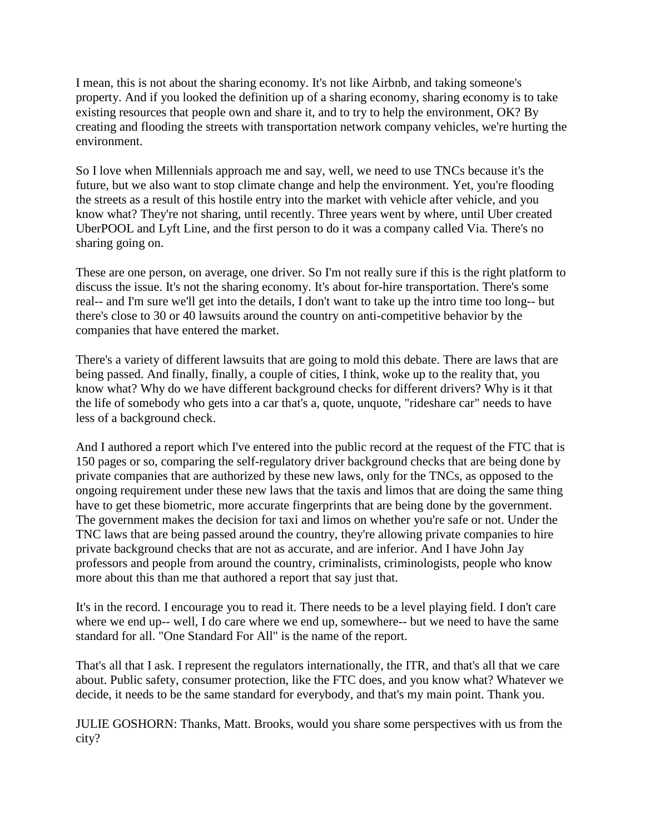I mean, this is not about the sharing economy. It's not like Airbnb, and taking someone's property. And if you looked the definition up of a sharing economy, sharing economy is to take existing resources that people own and share it, and to try to help the environment, OK? By creating and flooding the streets with transportation network company vehicles, we're hurting the environment.

So I love when Millennials approach me and say, well, we need to use TNCs because it's the future, but we also want to stop climate change and help the environment. Yet, you're flooding the streets as a result of this hostile entry into the market with vehicle after vehicle, and you know what? They're not sharing, until recently. Three years went by where, until Uber created UberPOOL and Lyft Line, and the first person to do it was a company called Via. There's no sharing going on.

These are one person, on average, one driver. So I'm not really sure if this is the right platform to discuss the issue. It's not the sharing economy. It's about for-hire transportation. There's some real-- and I'm sure we'll get into the details, I don't want to take up the intro time too long-- but there's close to 30 or 40 lawsuits around the country on anti-competitive behavior by the companies that have entered the market.

There's a variety of different lawsuits that are going to mold this debate. There are laws that are being passed. And finally, finally, a couple of cities, I think, woke up to the reality that, you know what? Why do we have different background checks for different drivers? Why is it that the life of somebody who gets into a car that's a, quote, unquote, "rideshare car" needs to have less of a background check.

And I authored a report which I've entered into the public record at the request of the FTC that is 150 pages or so, comparing the self-regulatory driver background checks that are being done by private companies that are authorized by these new laws, only for the TNCs, as opposed to the ongoing requirement under these new laws that the taxis and limos that are doing the same thing have to get these biometric, more accurate fingerprints that are being done by the government. The government makes the decision for taxi and limos on whether you're safe or not. Under the TNC laws that are being passed around the country, they're allowing private companies to hire private background checks that are not as accurate, and are inferior. And I have John Jay professors and people from around the country, criminalists, criminologists, people who know more about this than me that authored a report that say just that.

It's in the record. I encourage you to read it. There needs to be a level playing field. I don't care where we end up-- well, I do care where we end up, somewhere-- but we need to have the same standard for all. "One Standard For All" is the name of the report.

That's all that I ask. I represent the regulators internationally, the ITR, and that's all that we care about. Public safety, consumer protection, like the FTC does, and you know what? Whatever we decide, it needs to be the same standard for everybody, and that's my main point. Thank you.

JULIE GOSHORN: Thanks, Matt. Brooks, would you share some perspectives with us from the city?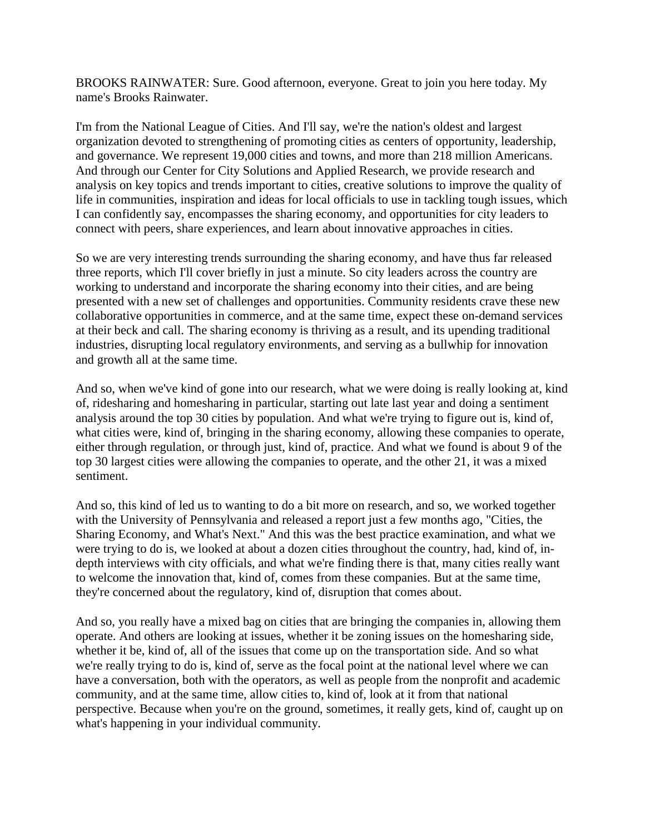BROOKS RAINWATER: Sure. Good afternoon, everyone. Great to join you here today. My name's Brooks Rainwater.

I'm from the National League of Cities. And I'll say, we're the nation's oldest and largest organization devoted to strengthening of promoting cities as centers of opportunity, leadership, and governance. We represent 19,000 cities and towns, and more than 218 million Americans. And through our Center for City Solutions and Applied Research, we provide research and analysis on key topics and trends important to cities, creative solutions to improve the quality of life in communities, inspiration and ideas for local officials to use in tackling tough issues, which I can confidently say, encompasses the sharing economy, and opportunities for city leaders to connect with peers, share experiences, and learn about innovative approaches in cities.

So we are very interesting trends surrounding the sharing economy, and have thus far released three reports, which I'll cover briefly in just a minute. So city leaders across the country are working to understand and incorporate the sharing economy into their cities, and are being presented with a new set of challenges and opportunities. Community residents crave these new collaborative opportunities in commerce, and at the same time, expect these on-demand services at their beck and call. The sharing economy is thriving as a result, and its upending traditional industries, disrupting local regulatory environments, and serving as a bullwhip for innovation and growth all at the same time.

And so, when we've kind of gone into our research, what we were doing is really looking at, kind of, ridesharing and homesharing in particular, starting out late last year and doing a sentiment analysis around the top 30 cities by population. And what we're trying to figure out is, kind of, what cities were, kind of, bringing in the sharing economy, allowing these companies to operate, either through regulation, or through just, kind of, practice. And what we found is about 9 of the top 30 largest cities were allowing the companies to operate, and the other 21, it was a mixed sentiment.

And so, this kind of led us to wanting to do a bit more on research, and so, we worked together with the University of Pennsylvania and released a report just a few months ago, "Cities, the Sharing Economy, and What's Next." And this was the best practice examination, and what we were trying to do is, we looked at about a dozen cities throughout the country, had, kind of, indepth interviews with city officials, and what we're finding there is that, many cities really want to welcome the innovation that, kind of, comes from these companies. But at the same time, they're concerned about the regulatory, kind of, disruption that comes about.

And so, you really have a mixed bag on cities that are bringing the companies in, allowing them operate. And others are looking at issues, whether it be zoning issues on the homesharing side, whether it be, kind of, all of the issues that come up on the transportation side. And so what we're really trying to do is, kind of, serve as the focal point at the national level where we can have a conversation, both with the operators, as well as people from the nonprofit and academic community, and at the same time, allow cities to, kind of, look at it from that national perspective. Because when you're on the ground, sometimes, it really gets, kind of, caught up on what's happening in your individual community.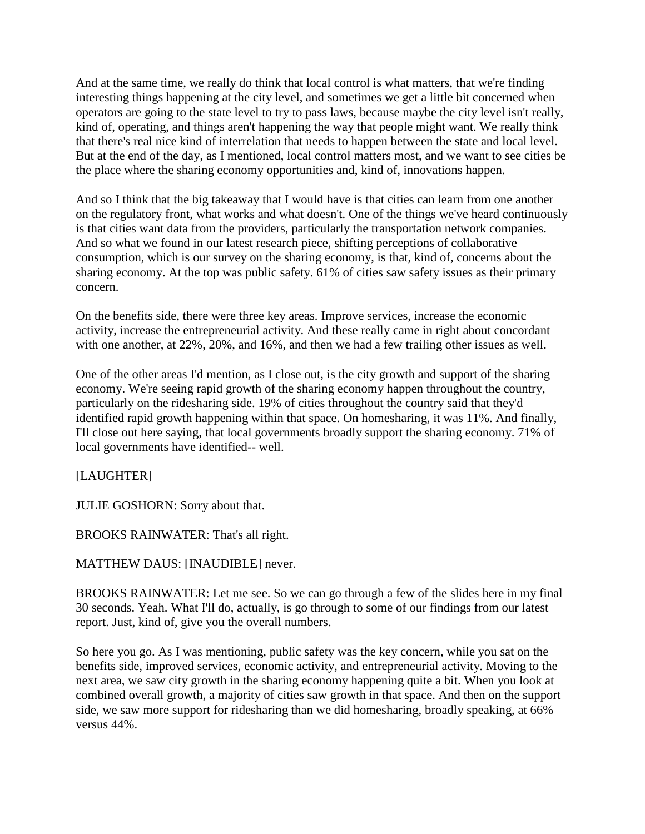And at the same time, we really do think that local control is what matters, that we're finding interesting things happening at the city level, and sometimes we get a little bit concerned when operators are going to the state level to try to pass laws, because maybe the city level isn't really, kind of, operating, and things aren't happening the way that people might want. We really think that there's real nice kind of interrelation that needs to happen between the state and local level. But at the end of the day, as I mentioned, local control matters most, and we want to see cities be the place where the sharing economy opportunities and, kind of, innovations happen.

And so I think that the big takeaway that I would have is that cities can learn from one another on the regulatory front, what works and what doesn't. One of the things we've heard continuously is that cities want data from the providers, particularly the transportation network companies. And so what we found in our latest research piece, shifting perceptions of collaborative consumption, which is our survey on the sharing economy, is that, kind of, concerns about the sharing economy. At the top was public safety. 61% of cities saw safety issues as their primary concern.

On the benefits side, there were three key areas. Improve services, increase the economic activity, increase the entrepreneurial activity. And these really came in right about concordant with one another, at 22%, 20%, and 16%, and then we had a few trailing other issues as well.

One of the other areas I'd mention, as I close out, is the city growth and support of the sharing economy. We're seeing rapid growth of the sharing economy happen throughout the country, particularly on the ridesharing side. 19% of cities throughout the country said that they'd identified rapid growth happening within that space. On homesharing, it was 11%. And finally, I'll close out here saying, that local governments broadly support the sharing economy. 71% of local governments have identified-- well.

[LAUGHTER]

JULIE GOSHORN: Sorry about that.

BROOKS RAINWATER: That's all right.

MATTHEW DAUS: [INAUDIBLE] never.

BROOKS RAINWATER: Let me see. So we can go through a few of the slides here in my final 30 seconds. Yeah. What I'll do, actually, is go through to some of our findings from our latest report. Just, kind of, give you the overall numbers.

So here you go. As I was mentioning, public safety was the key concern, while you sat on the benefits side, improved services, economic activity, and entrepreneurial activity. Moving to the next area, we saw city growth in the sharing economy happening quite a bit. When you look at combined overall growth, a majority of cities saw growth in that space. And then on the support side, we saw more support for ridesharing than we did homesharing, broadly speaking, at 66% versus 44%.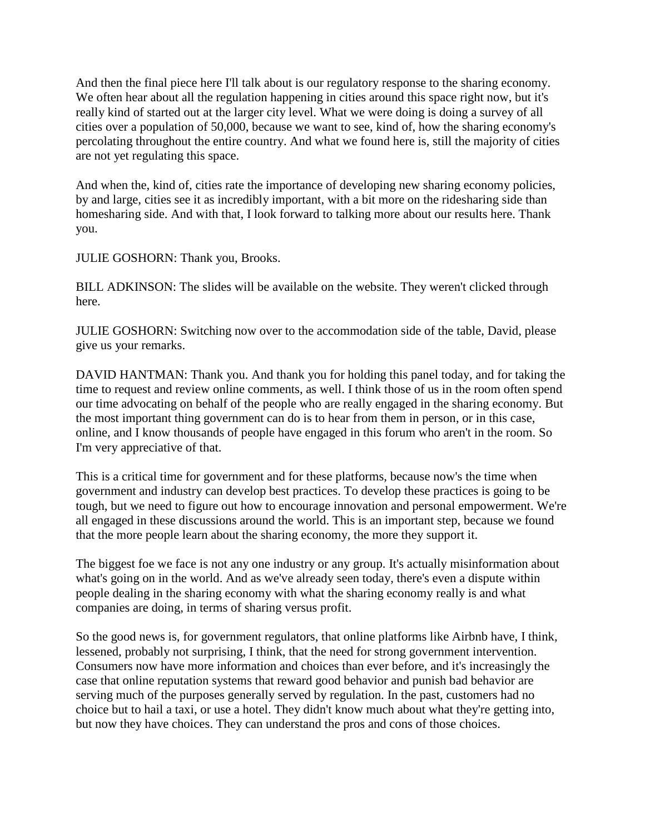And then the final piece here I'll talk about is our regulatory response to the sharing economy. We often hear about all the regulation happening in cities around this space right now, but it's really kind of started out at the larger city level. What we were doing is doing a survey of all cities over a population of 50,000, because we want to see, kind of, how the sharing economy's percolating throughout the entire country. And what we found here is, still the majority of cities are not yet regulating this space.

And when the, kind of, cities rate the importance of developing new sharing economy policies, by and large, cities see it as incredibly important, with a bit more on the ridesharing side than homesharing side. And with that, I look forward to talking more about our results here. Thank you.

JULIE GOSHORN: Thank you, Brooks.

BILL ADKINSON: The slides will be available on the website. They weren't clicked through here.

JULIE GOSHORN: Switching now over to the accommodation side of the table, David, please give us your remarks.

DAVID HANTMAN: Thank you. And thank you for holding this panel today, and for taking the time to request and review online comments, as well. I think those of us in the room often spend our time advocating on behalf of the people who are really engaged in the sharing economy. But the most important thing government can do is to hear from them in person, or in this case, online, and I know thousands of people have engaged in this forum who aren't in the room. So I'm very appreciative of that.

This is a critical time for government and for these platforms, because now's the time when government and industry can develop best practices. To develop these practices is going to be tough, but we need to figure out how to encourage innovation and personal empowerment. We're all engaged in these discussions around the world. This is an important step, because we found that the more people learn about the sharing economy, the more they support it.

The biggest foe we face is not any one industry or any group. It's actually misinformation about what's going on in the world. And as we've already seen today, there's even a dispute within people dealing in the sharing economy with what the sharing economy really is and what companies are doing, in terms of sharing versus profit.

So the good news is, for government regulators, that online platforms like Airbnb have, I think, lessened, probably not surprising, I think, that the need for strong government intervention. Consumers now have more information and choices than ever before, and it's increasingly the case that online reputation systems that reward good behavior and punish bad behavior are serving much of the purposes generally served by regulation. In the past, customers had no choice but to hail a taxi, or use a hotel. They didn't know much about what they're getting into, but now they have choices. They can understand the pros and cons of those choices.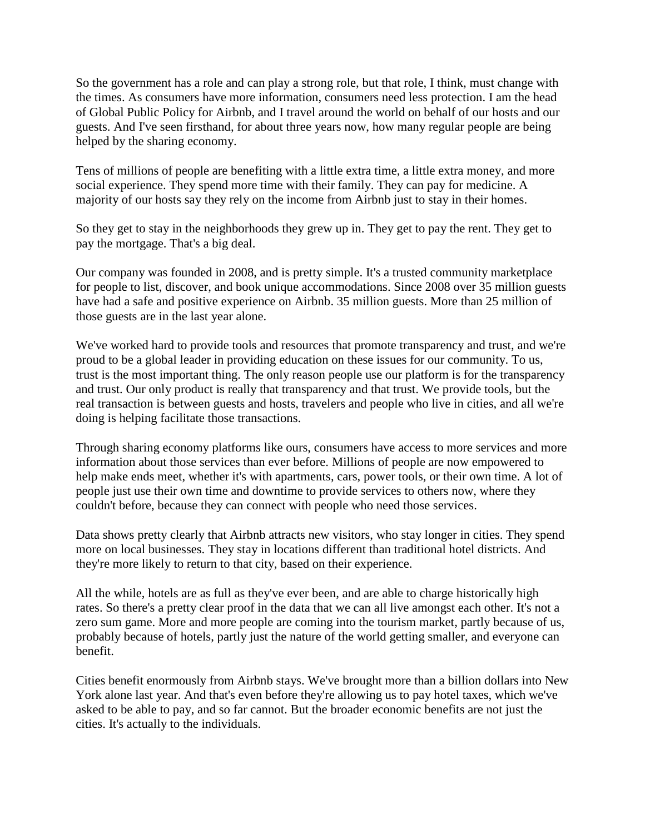So the government has a role and can play a strong role, but that role, I think, must change with the times. As consumers have more information, consumers need less protection. I am the head of Global Public Policy for Airbnb, and I travel around the world on behalf of our hosts and our guests. And I've seen firsthand, for about three years now, how many regular people are being helped by the sharing economy.

Tens of millions of people are benefiting with a little extra time, a little extra money, and more social experience. They spend more time with their family. They can pay for medicine. A majority of our hosts say they rely on the income from Airbnb just to stay in their homes.

So they get to stay in the neighborhoods they grew up in. They get to pay the rent. They get to pay the mortgage. That's a big deal.

Our company was founded in 2008, and is pretty simple. It's a trusted community marketplace for people to list, discover, and book unique accommodations. Since 2008 over 35 million guests have had a safe and positive experience on Airbnb. 35 million guests. More than 25 million of those guests are in the last year alone.

We've worked hard to provide tools and resources that promote transparency and trust, and we're proud to be a global leader in providing education on these issues for our community. To us, trust is the most important thing. The only reason people use our platform is for the transparency and trust. Our only product is really that transparency and that trust. We provide tools, but the real transaction is between guests and hosts, travelers and people who live in cities, and all we're doing is helping facilitate those transactions.

Through sharing economy platforms like ours, consumers have access to more services and more information about those services than ever before. Millions of people are now empowered to help make ends meet, whether it's with apartments, cars, power tools, or their own time. A lot of people just use their own time and downtime to provide services to others now, where they couldn't before, because they can connect with people who need those services.

Data shows pretty clearly that Airbnb attracts new visitors, who stay longer in cities. They spend more on local businesses. They stay in locations different than traditional hotel districts. And they're more likely to return to that city, based on their experience.

All the while, hotels are as full as they've ever been, and are able to charge historically high rates. So there's a pretty clear proof in the data that we can all live amongst each other. It's not a zero sum game. More and more people are coming into the tourism market, partly because of us, probably because of hotels, partly just the nature of the world getting smaller, and everyone can benefit.

Cities benefit enormously from Airbnb stays. We've brought more than a billion dollars into New York alone last year. And that's even before they're allowing us to pay hotel taxes, which we've asked to be able to pay, and so far cannot. But the broader economic benefits are not just the cities. It's actually to the individuals.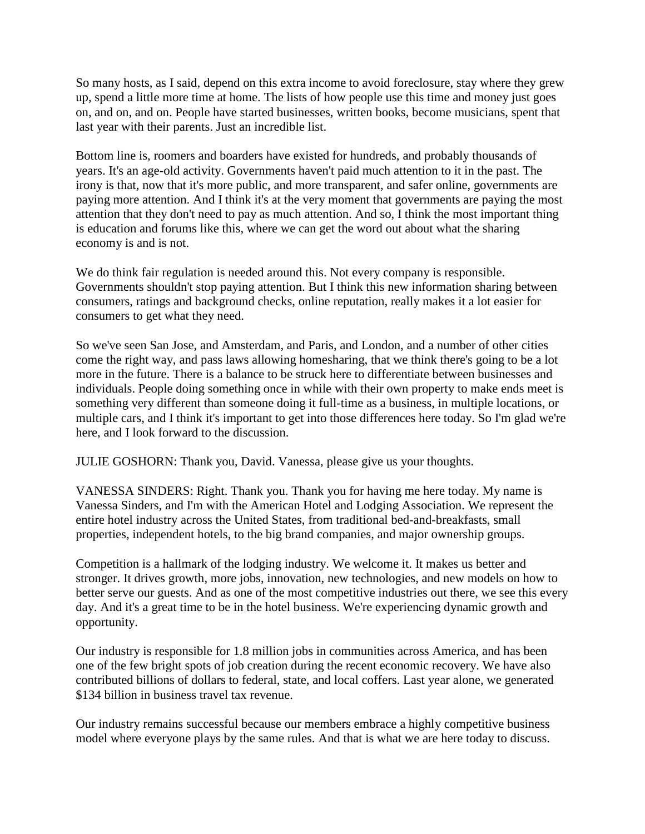So many hosts, as I said, depend on this extra income to avoid foreclosure, stay where they grew up, spend a little more time at home. The lists of how people use this time and money just goes on, and on, and on. People have started businesses, written books, become musicians, spent that last year with their parents. Just an incredible list.

Bottom line is, roomers and boarders have existed for hundreds, and probably thousands of years. It's an age-old activity. Governments haven't paid much attention to it in the past. The irony is that, now that it's more public, and more transparent, and safer online, governments are paying more attention. And I think it's at the very moment that governments are paying the most attention that they don't need to pay as much attention. And so, I think the most important thing is education and forums like this, where we can get the word out about what the sharing economy is and is not.

We do think fair regulation is needed around this. Not every company is responsible. Governments shouldn't stop paying attention. But I think this new information sharing between consumers, ratings and background checks, online reputation, really makes it a lot easier for consumers to get what they need.

So we've seen San Jose, and Amsterdam, and Paris, and London, and a number of other cities come the right way, and pass laws allowing homesharing, that we think there's going to be a lot more in the future. There is a balance to be struck here to differentiate between businesses and individuals. People doing something once in while with their own property to make ends meet is something very different than someone doing it full-time as a business, in multiple locations, or multiple cars, and I think it's important to get into those differences here today. So I'm glad we're here, and I look forward to the discussion.

JULIE GOSHORN: Thank you, David. Vanessa, please give us your thoughts.

VANESSA SINDERS: Right. Thank you. Thank you for having me here today. My name is Vanessa Sinders, and I'm with the American Hotel and Lodging Association. We represent the entire hotel industry across the United States, from traditional bed-and-breakfasts, small properties, independent hotels, to the big brand companies, and major ownership groups.

Competition is a hallmark of the lodging industry. We welcome it. It makes us better and stronger. It drives growth, more jobs, innovation, new technologies, and new models on how to better serve our guests. And as one of the most competitive industries out there, we see this every day. And it's a great time to be in the hotel business. We're experiencing dynamic growth and opportunity.

Our industry is responsible for 1.8 million jobs in communities across America, and has been one of the few bright spots of job creation during the recent economic recovery. We have also contributed billions of dollars to federal, state, and local coffers. Last year alone, we generated \$134 billion in business travel tax revenue.

Our industry remains successful because our members embrace a highly competitive business model where everyone plays by the same rules. And that is what we are here today to discuss.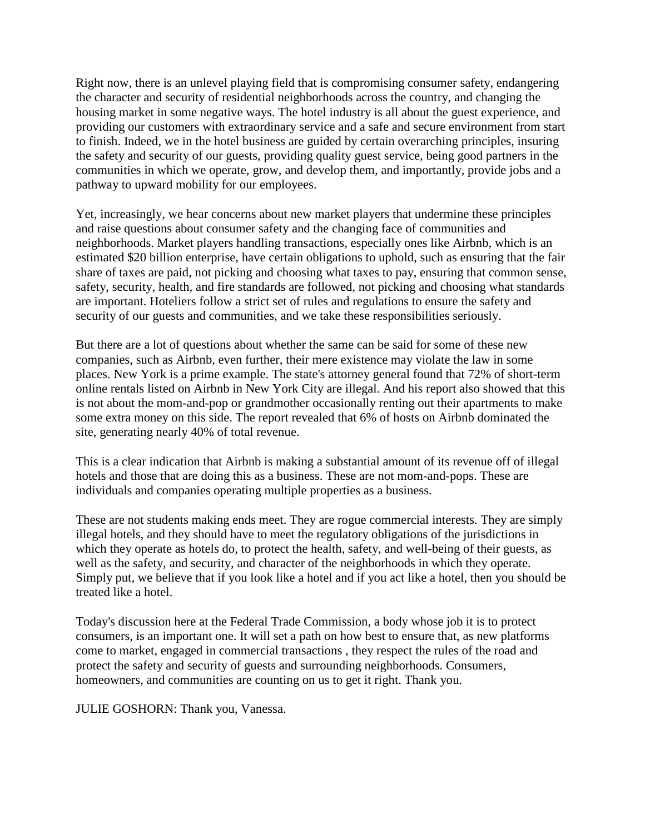Right now, there is an unlevel playing field that is compromising consumer safety, endangering the character and security of residential neighborhoods across the country, and changing the housing market in some negative ways. The hotel industry is all about the guest experience, and providing our customers with extraordinary service and a safe and secure environment from start to finish. Indeed, we in the hotel business are guided by certain overarching principles, insuring the safety and security of our guests, providing quality guest service, being good partners in the communities in which we operate, grow, and develop them, and importantly, provide jobs and a pathway to upward mobility for our employees.

Yet, increasingly, we hear concerns about new market players that undermine these principles and raise questions about consumer safety and the changing face of communities and neighborhoods. Market players handling transactions, especially ones like Airbnb, which is an estimated \$20 billion enterprise, have certain obligations to uphold, such as ensuring that the fair share of taxes are paid, not picking and choosing what taxes to pay, ensuring that common sense, safety, security, health, and fire standards are followed, not picking and choosing what standards are important. Hoteliers follow a strict set of rules and regulations to ensure the safety and security of our guests and communities, and we take these responsibilities seriously.

But there are a lot of questions about whether the same can be said for some of these new companies, such as Airbnb, even further, their mere existence may violate the law in some places. New York is a prime example. The state's attorney general found that 72% of short-term online rentals listed on Airbnb in New York City are illegal. And his report also showed that this is not about the mom-and-pop or grandmother occasionally renting out their apartments to make some extra money on this side. The report revealed that 6% of hosts on Airbnb dominated the site, generating nearly 40% of total revenue.

This is a clear indication that Airbnb is making a substantial amount of its revenue off of illegal hotels and those that are doing this as a business. These are not mom-and-pops. These are individuals and companies operating multiple properties as a business.

These are not students making ends meet. They are rogue commercial interests. They are simply illegal hotels, and they should have to meet the regulatory obligations of the jurisdictions in which they operate as hotels do, to protect the health, safety, and well-being of their guests, as well as the safety, and security, and character of the neighborhoods in which they operate. Simply put, we believe that if you look like a hotel and if you act like a hotel, then you should be treated like a hotel.

Today's discussion here at the Federal Trade Commission, a body whose job it is to protect consumers, is an important one. It will set a path on how best to ensure that, as new platforms come to market, engaged in commercial transactions , they respect the rules of the road and protect the safety and security of guests and surrounding neighborhoods. Consumers, homeowners, and communities are counting on us to get it right. Thank you.

JULIE GOSHORN: Thank you, Vanessa.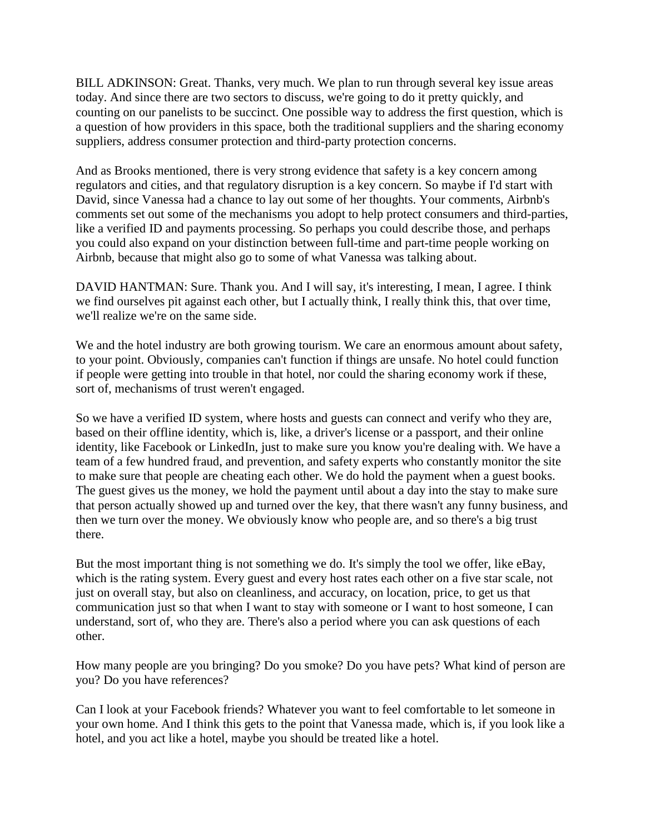BILL ADKINSON: Great. Thanks, very much. We plan to run through several key issue areas today. And since there are two sectors to discuss, we're going to do it pretty quickly, and counting on our panelists to be succinct. One possible way to address the first question, which is a question of how providers in this space, both the traditional suppliers and the sharing economy suppliers, address consumer protection and third-party protection concerns.

And as Brooks mentioned, there is very strong evidence that safety is a key concern among regulators and cities, and that regulatory disruption is a key concern. So maybe if I'd start with David, since Vanessa had a chance to lay out some of her thoughts. Your comments, Airbnb's comments set out some of the mechanisms you adopt to help protect consumers and third-parties, like a verified ID and payments processing. So perhaps you could describe those, and perhaps you could also expand on your distinction between full-time and part-time people working on Airbnb, because that might also go to some of what Vanessa was talking about.

DAVID HANTMAN: Sure. Thank you. And I will say, it's interesting, I mean, I agree. I think we find ourselves pit against each other, but I actually think, I really think this, that over time, we'll realize we're on the same side.

We and the hotel industry are both growing tourism. We care an enormous amount about safety, to your point. Obviously, companies can't function if things are unsafe. No hotel could function if people were getting into trouble in that hotel, nor could the sharing economy work if these, sort of, mechanisms of trust weren't engaged.

So we have a verified ID system, where hosts and guests can connect and verify who they are, based on their offline identity, which is, like, a driver's license or a passport, and their online identity, like Facebook or LinkedIn, just to make sure you know you're dealing with. We have a team of a few hundred fraud, and prevention, and safety experts who constantly monitor the site to make sure that people are cheating each other. We do hold the payment when a guest books. The guest gives us the money, we hold the payment until about a day into the stay to make sure that person actually showed up and turned over the key, that there wasn't any funny business, and then we turn over the money. We obviously know who people are, and so there's a big trust there.

But the most important thing is not something we do. It's simply the tool we offer, like eBay, which is the rating system. Every guest and every host rates each other on a five star scale, not just on overall stay, but also on cleanliness, and accuracy, on location, price, to get us that communication just so that when I want to stay with someone or I want to host someone, I can understand, sort of, who they are. There's also a period where you can ask questions of each other.

How many people are you bringing? Do you smoke? Do you have pets? What kind of person are you? Do you have references?

Can I look at your Facebook friends? Whatever you want to feel comfortable to let someone in your own home. And I think this gets to the point that Vanessa made, which is, if you look like a hotel, and you act like a hotel, maybe you should be treated like a hotel.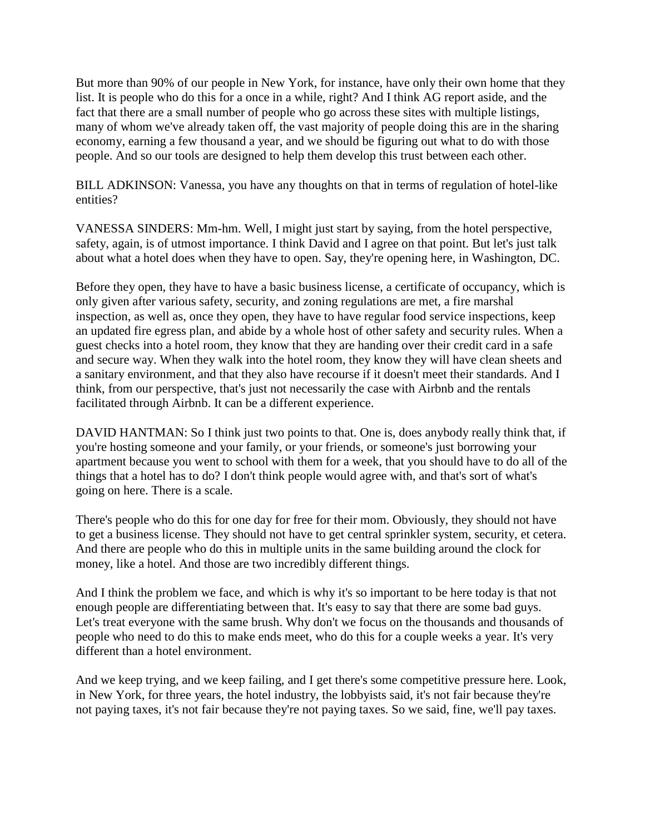But more than 90% of our people in New York, for instance, have only their own home that they list. It is people who do this for a once in a while, right? And I think AG report aside, and the fact that there are a small number of people who go across these sites with multiple listings, many of whom we've already taken off, the vast majority of people doing this are in the sharing economy, earning a few thousand a year, and we should be figuring out what to do with those people. And so our tools are designed to help them develop this trust between each other.

BILL ADKINSON: Vanessa, you have any thoughts on that in terms of regulation of hotel-like entities?

VANESSA SINDERS: Mm-hm. Well, I might just start by saying, from the hotel perspective, safety, again, is of utmost importance. I think David and I agree on that point. But let's just talk about what a hotel does when they have to open. Say, they're opening here, in Washington, DC.

Before they open, they have to have a basic business license, a certificate of occupancy, which is only given after various safety, security, and zoning regulations are met, a fire marshal inspection, as well as, once they open, they have to have regular food service inspections, keep an updated fire egress plan, and abide by a whole host of other safety and security rules. When a guest checks into a hotel room, they know that they are handing over their credit card in a safe and secure way. When they walk into the hotel room, they know they will have clean sheets and a sanitary environment, and that they also have recourse if it doesn't meet their standards. And I think, from our perspective, that's just not necessarily the case with Airbnb and the rentals facilitated through Airbnb. It can be a different experience.

DAVID HANTMAN: So I think just two points to that. One is, does anybody really think that, if you're hosting someone and your family, or your friends, or someone's just borrowing your apartment because you went to school with them for a week, that you should have to do all of the things that a hotel has to do? I don't think people would agree with, and that's sort of what's going on here. There is a scale.

There's people who do this for one day for free for their mom. Obviously, they should not have to get a business license. They should not have to get central sprinkler system, security, et cetera. And there are people who do this in multiple units in the same building around the clock for money, like a hotel. And those are two incredibly different things.

And I think the problem we face, and which is why it's so important to be here today is that not enough people are differentiating between that. It's easy to say that there are some bad guys. Let's treat everyone with the same brush. Why don't we focus on the thousands and thousands of people who need to do this to make ends meet, who do this for a couple weeks a year. It's very different than a hotel environment.

And we keep trying, and we keep failing, and I get there's some competitive pressure here. Look, in New York, for three years, the hotel industry, the lobbyists said, it's not fair because they're not paying taxes, it's not fair because they're not paying taxes. So we said, fine, we'll pay taxes.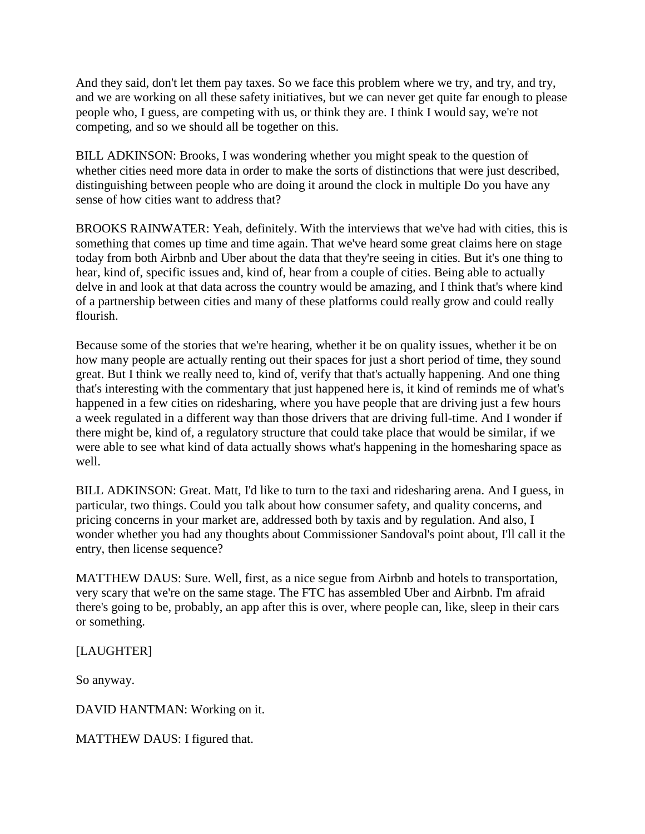And they said, don't let them pay taxes. So we face this problem where we try, and try, and try, and we are working on all these safety initiatives, but we can never get quite far enough to please people who, I guess, are competing with us, or think they are. I think I would say, we're not competing, and so we should all be together on this.

BILL ADKINSON: Brooks, I was wondering whether you might speak to the question of whether cities need more data in order to make the sorts of distinctions that were just described, distinguishing between people who are doing it around the clock in multiple Do you have any sense of how cities want to address that?

BROOKS RAINWATER: Yeah, definitely. With the interviews that we've had with cities, this is something that comes up time and time again. That we've heard some great claims here on stage today from both Airbnb and Uber about the data that they're seeing in cities. But it's one thing to hear, kind of, specific issues and, kind of, hear from a couple of cities. Being able to actually delve in and look at that data across the country would be amazing, and I think that's where kind of a partnership between cities and many of these platforms could really grow and could really flourish.

Because some of the stories that we're hearing, whether it be on quality issues, whether it be on how many people are actually renting out their spaces for just a short period of time, they sound great. But I think we really need to, kind of, verify that that's actually happening. And one thing that's interesting with the commentary that just happened here is, it kind of reminds me of what's happened in a few cities on ridesharing, where you have people that are driving just a few hours a week regulated in a different way than those drivers that are driving full-time. And I wonder if there might be, kind of, a regulatory structure that could take place that would be similar, if we were able to see what kind of data actually shows what's happening in the homesharing space as well.

BILL ADKINSON: Great. Matt, I'd like to turn to the taxi and ridesharing arena. And I guess, in particular, two things. Could you talk about how consumer safety, and quality concerns, and pricing concerns in your market are, addressed both by taxis and by regulation. And also, I wonder whether you had any thoughts about Commissioner Sandoval's point about, I'll call it the entry, then license sequence?

MATTHEW DAUS: Sure. Well, first, as a nice segue from Airbnb and hotels to transportation, very scary that we're on the same stage. The FTC has assembled Uber and Airbnb. I'm afraid there's going to be, probably, an app after this is over, where people can, like, sleep in their cars or something.

[LAUGHTER]

So anyway.

DAVID HANTMAN: Working on it.

MATTHEW DAUS: I figured that.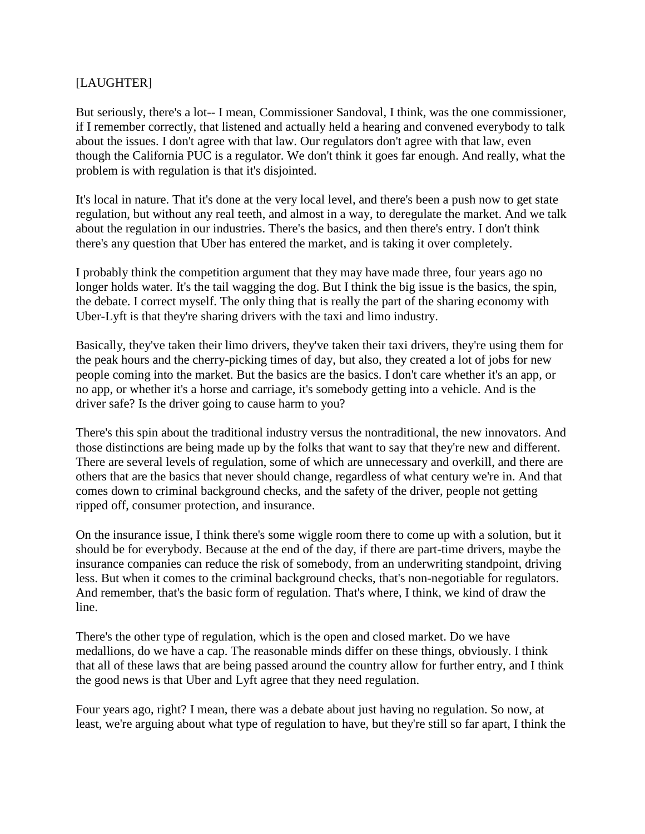## [LAUGHTER]

But seriously, there's a lot-- I mean, Commissioner Sandoval, I think, was the one commissioner, if I remember correctly, that listened and actually held a hearing and convened everybody to talk about the issues. I don't agree with that law. Our regulators don't agree with that law, even though the California PUC is a regulator. We don't think it goes far enough. And really, what the problem is with regulation is that it's disjointed.

It's local in nature. That it's done at the very local level, and there's been a push now to get state regulation, but without any real teeth, and almost in a way, to deregulate the market. And we talk about the regulation in our industries. There's the basics, and then there's entry. I don't think there's any question that Uber has entered the market, and is taking it over completely.

I probably think the competition argument that they may have made three, four years ago no longer holds water. It's the tail wagging the dog. But I think the big issue is the basics, the spin, the debate. I correct myself. The only thing that is really the part of the sharing economy with Uber-Lyft is that they're sharing drivers with the taxi and limo industry.

Basically, they've taken their limo drivers, they've taken their taxi drivers, they're using them for the peak hours and the cherry-picking times of day, but also, they created a lot of jobs for new people coming into the market. But the basics are the basics. I don't care whether it's an app, or no app, or whether it's a horse and carriage, it's somebody getting into a vehicle. And is the driver safe? Is the driver going to cause harm to you?

There's this spin about the traditional industry versus the nontraditional, the new innovators. And those distinctions are being made up by the folks that want to say that they're new and different. There are several levels of regulation, some of which are unnecessary and overkill, and there are others that are the basics that never should change, regardless of what century we're in. And that comes down to criminal background checks, and the safety of the driver, people not getting ripped off, consumer protection, and insurance.

On the insurance issue, I think there's some wiggle room there to come up with a solution, but it should be for everybody. Because at the end of the day, if there are part-time drivers, maybe the insurance companies can reduce the risk of somebody, from an underwriting standpoint, driving less. But when it comes to the criminal background checks, that's non-negotiable for regulators. And remember, that's the basic form of regulation. That's where, I think, we kind of draw the line.

There's the other type of regulation, which is the open and closed market. Do we have medallions, do we have a cap. The reasonable minds differ on these things, obviously. I think that all of these laws that are being passed around the country allow for further entry, and I think the good news is that Uber and Lyft agree that they need regulation.

Four years ago, right? I mean, there was a debate about just having no regulation. So now, at least, we're arguing about what type of regulation to have, but they're still so far apart, I think the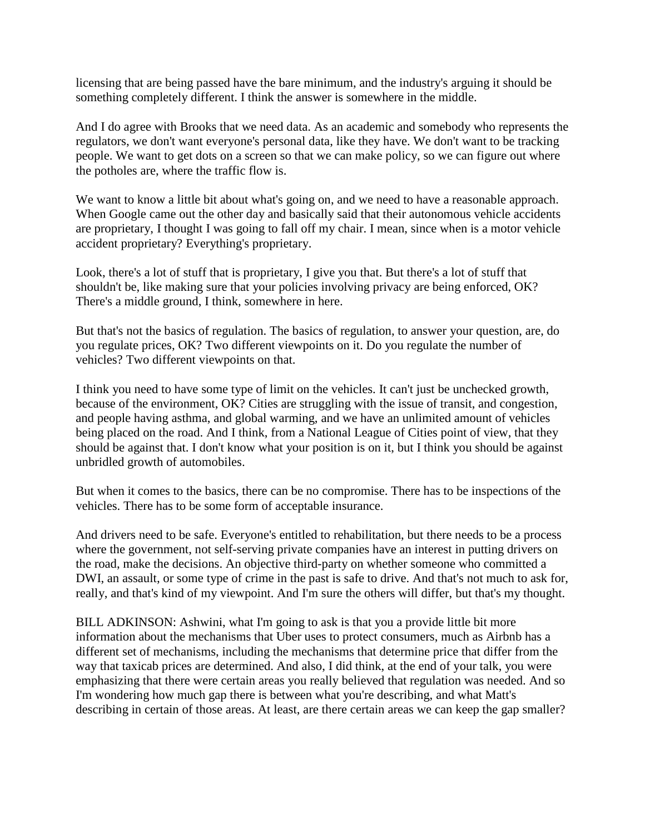licensing that are being passed have the bare minimum, and the industry's arguing it should be something completely different. I think the answer is somewhere in the middle.

And I do agree with Brooks that we need data. As an academic and somebody who represents the regulators, we don't want everyone's personal data, like they have. We don't want to be tracking people. We want to get dots on a screen so that we can make policy, so we can figure out where the potholes are, where the traffic flow is.

We want to know a little bit about what's going on, and we need to have a reasonable approach. When Google came out the other day and basically said that their autonomous vehicle accidents are proprietary, I thought I was going to fall off my chair. I mean, since when is a motor vehicle accident proprietary? Everything's proprietary.

Look, there's a lot of stuff that is proprietary, I give you that. But there's a lot of stuff that shouldn't be, like making sure that your policies involving privacy are being enforced, OK? There's a middle ground, I think, somewhere in here.

But that's not the basics of regulation. The basics of regulation, to answer your question, are, do you regulate prices, OK? Two different viewpoints on it. Do you regulate the number of vehicles? Two different viewpoints on that.

I think you need to have some type of limit on the vehicles. It can't just be unchecked growth, because of the environment, OK? Cities are struggling with the issue of transit, and congestion, and people having asthma, and global warming, and we have an unlimited amount of vehicles being placed on the road. And I think, from a National League of Cities point of view, that they should be against that. I don't know what your position is on it, but I think you should be against unbridled growth of automobiles.

But when it comes to the basics, there can be no compromise. There has to be inspections of the vehicles. There has to be some form of acceptable insurance.

And drivers need to be safe. Everyone's entitled to rehabilitation, but there needs to be a process where the government, not self-serving private companies have an interest in putting drivers on the road, make the decisions. An objective third-party on whether someone who committed a DWI, an assault, or some type of crime in the past is safe to drive. And that's not much to ask for, really, and that's kind of my viewpoint. And I'm sure the others will differ, but that's my thought.

BILL ADKINSON: Ashwini, what I'm going to ask is that you a provide little bit more information about the mechanisms that Uber uses to protect consumers, much as Airbnb has a different set of mechanisms, including the mechanisms that determine price that differ from the way that taxicab prices are determined. And also, I did think, at the end of your talk, you were emphasizing that there were certain areas you really believed that regulation was needed. And so I'm wondering how much gap there is between what you're describing, and what Matt's describing in certain of those areas. At least, are there certain areas we can keep the gap smaller?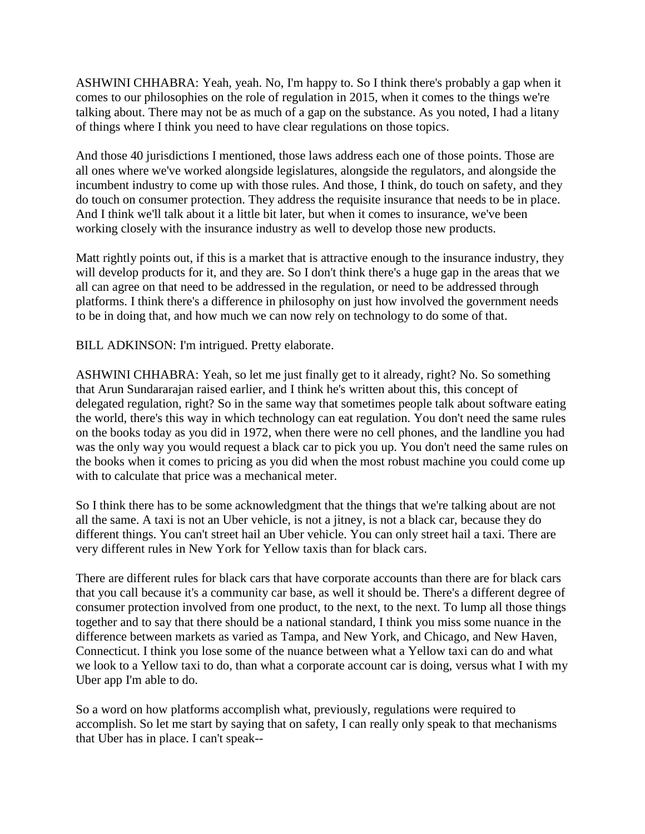ASHWINI CHHABRA: Yeah, yeah. No, I'm happy to. So I think there's probably a gap when it comes to our philosophies on the role of regulation in 2015, when it comes to the things we're talking about. There may not be as much of a gap on the substance. As you noted, I had a litany of things where I think you need to have clear regulations on those topics.

And those 40 jurisdictions I mentioned, those laws address each one of those points. Those are all ones where we've worked alongside legislatures, alongside the regulators, and alongside the incumbent industry to come up with those rules. And those, I think, do touch on safety, and they do touch on consumer protection. They address the requisite insurance that needs to be in place. And I think we'll talk about it a little bit later, but when it comes to insurance, we've been working closely with the insurance industry as well to develop those new products.

Matt rightly points out, if this is a market that is attractive enough to the insurance industry, they will develop products for it, and they are. So I don't think there's a huge gap in the areas that we all can agree on that need to be addressed in the regulation, or need to be addressed through platforms. I think there's a difference in philosophy on just how involved the government needs to be in doing that, and how much we can now rely on technology to do some of that.

BILL ADKINSON: I'm intrigued. Pretty elaborate.

ASHWINI CHHABRA: Yeah, so let me just finally get to it already, right? No. So something that Arun Sundararajan raised earlier, and I think he's written about this, this concept of delegated regulation, right? So in the same way that sometimes people talk about software eating the world, there's this way in which technology can eat regulation. You don't need the same rules on the books today as you did in 1972, when there were no cell phones, and the landline you had was the only way you would request a black car to pick you up. You don't need the same rules on the books when it comes to pricing as you did when the most robust machine you could come up with to calculate that price was a mechanical meter.

So I think there has to be some acknowledgment that the things that we're talking about are not all the same. A taxi is not an Uber vehicle, is not a jitney, is not a black car, because they do different things. You can't street hail an Uber vehicle. You can only street hail a taxi. There are very different rules in New York for Yellow taxis than for black cars.

There are different rules for black cars that have corporate accounts than there are for black cars that you call because it's a community car base, as well it should be. There's a different degree of consumer protection involved from one product, to the next, to the next. To lump all those things together and to say that there should be a national standard, I think you miss some nuance in the difference between markets as varied as Tampa, and New York, and Chicago, and New Haven, Connecticut. I think you lose some of the nuance between what a Yellow taxi can do and what we look to a Yellow taxi to do, than what a corporate account car is doing, versus what I with my Uber app I'm able to do.

So a word on how platforms accomplish what, previously, regulations were required to accomplish. So let me start by saying that on safety, I can really only speak to that mechanisms that Uber has in place. I can't speak--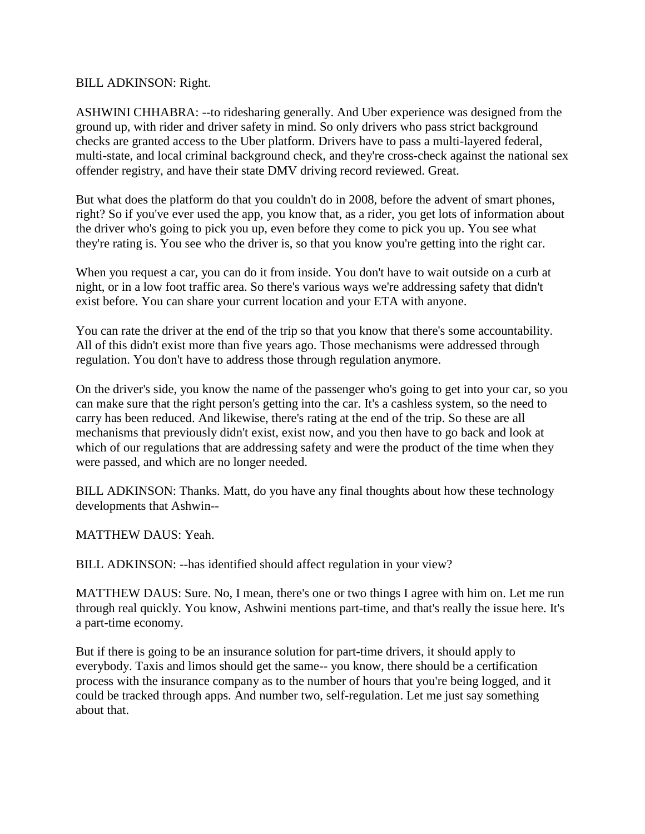BILL ADKINSON: Right.

ASHWINI CHHABRA: --to ridesharing generally. And Uber experience was designed from the ground up, with rider and driver safety in mind. So only drivers who pass strict background checks are granted access to the Uber platform. Drivers have to pass a multi-layered federal, multi-state, and local criminal background check, and they're cross-check against the national sex offender registry, and have their state DMV driving record reviewed. Great.

But what does the platform do that you couldn't do in 2008, before the advent of smart phones, right? So if you've ever used the app, you know that, as a rider, you get lots of information about the driver who's going to pick you up, even before they come to pick you up. You see what they're rating is. You see who the driver is, so that you know you're getting into the right car.

When you request a car, you can do it from inside. You don't have to wait outside on a curb at night, or in a low foot traffic area. So there's various ways we're addressing safety that didn't exist before. You can share your current location and your ETA with anyone.

You can rate the driver at the end of the trip so that you know that there's some accountability. All of this didn't exist more than five years ago. Those mechanisms were addressed through regulation. You don't have to address those through regulation anymore.

On the driver's side, you know the name of the passenger who's going to get into your car, so you can make sure that the right person's getting into the car. It's a cashless system, so the need to carry has been reduced. And likewise, there's rating at the end of the trip. So these are all mechanisms that previously didn't exist, exist now, and you then have to go back and look at which of our regulations that are addressing safety and were the product of the time when they were passed, and which are no longer needed.

BILL ADKINSON: Thanks. Matt, do you have any final thoughts about how these technology developments that Ashwin--

MATTHEW DAUS: Yeah.

BILL ADKINSON: --has identified should affect regulation in your view?

MATTHEW DAUS: Sure. No, I mean, there's one or two things I agree with him on. Let me run through real quickly. You know, Ashwini mentions part-time, and that's really the issue here. It's a part-time economy.

But if there is going to be an insurance solution for part-time drivers, it should apply to everybody. Taxis and limos should get the same-- you know, there should be a certification process with the insurance company as to the number of hours that you're being logged, and it could be tracked through apps. And number two, self-regulation. Let me just say something about that.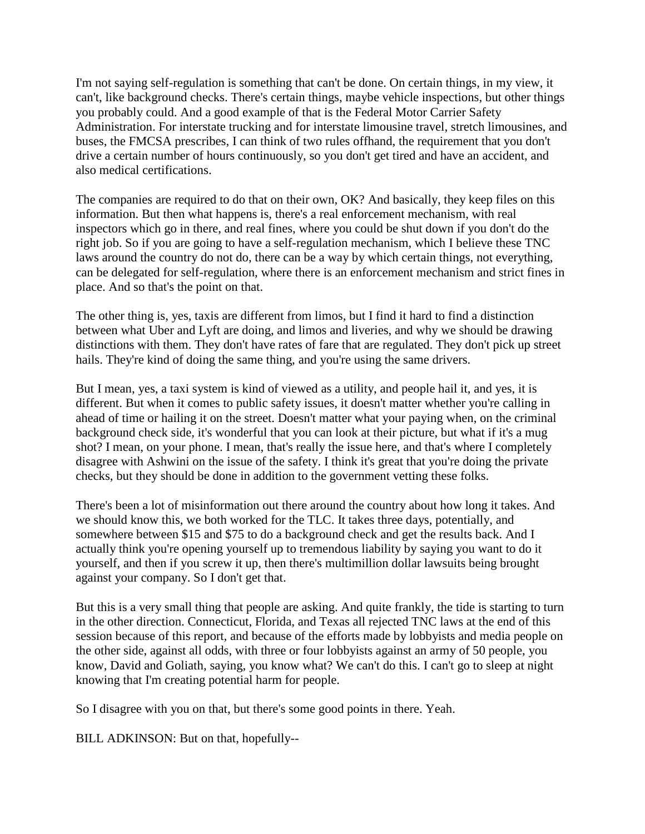I'm not saying self-regulation is something that can't be done. On certain things, in my view, it can't, like background checks. There's certain things, maybe vehicle inspections, but other things you probably could. And a good example of that is the Federal Motor Carrier Safety Administration. For interstate trucking and for interstate limousine travel, stretch limousines, and buses, the FMCSA prescribes, I can think of two rules offhand, the requirement that you don't drive a certain number of hours continuously, so you don't get tired and have an accident, and also medical certifications.

The companies are required to do that on their own, OK? And basically, they keep files on this information. But then what happens is, there's a real enforcement mechanism, with real inspectors which go in there, and real fines, where you could be shut down if you don't do the right job. So if you are going to have a self-regulation mechanism, which I believe these TNC laws around the country do not do, there can be a way by which certain things, not everything, can be delegated for self-regulation, where there is an enforcement mechanism and strict fines in place. And so that's the point on that.

The other thing is, yes, taxis are different from limos, but I find it hard to find a distinction between what Uber and Lyft are doing, and limos and liveries, and why we should be drawing distinctions with them. They don't have rates of fare that are regulated. They don't pick up street hails. They're kind of doing the same thing, and you're using the same drivers.

But I mean, yes, a taxi system is kind of viewed as a utility, and people hail it, and yes, it is different. But when it comes to public safety issues, it doesn't matter whether you're calling in ahead of time or hailing it on the street. Doesn't matter what your paying when, on the criminal background check side, it's wonderful that you can look at their picture, but what if it's a mug shot? I mean, on your phone. I mean, that's really the issue here, and that's where I completely disagree with Ashwini on the issue of the safety. I think it's great that you're doing the private checks, but they should be done in addition to the government vetting these folks.

There's been a lot of misinformation out there around the country about how long it takes. And we should know this, we both worked for the TLC. It takes three days, potentially, and somewhere between \$15 and \$75 to do a background check and get the results back. And I actually think you're opening yourself up to tremendous liability by saying you want to do it yourself, and then if you screw it up, then there's multimillion dollar lawsuits being brought against your company. So I don't get that.

But this is a very small thing that people are asking. And quite frankly, the tide is starting to turn in the other direction. Connecticut, Florida, and Texas all rejected TNC laws at the end of this session because of this report, and because of the efforts made by lobbyists and media people on the other side, against all odds, with three or four lobbyists against an army of 50 people, you know, David and Goliath, saying, you know what? We can't do this. I can't go to sleep at night knowing that I'm creating potential harm for people.

So I disagree with you on that, but there's some good points in there. Yeah.

BILL ADKINSON: But on that, hopefully--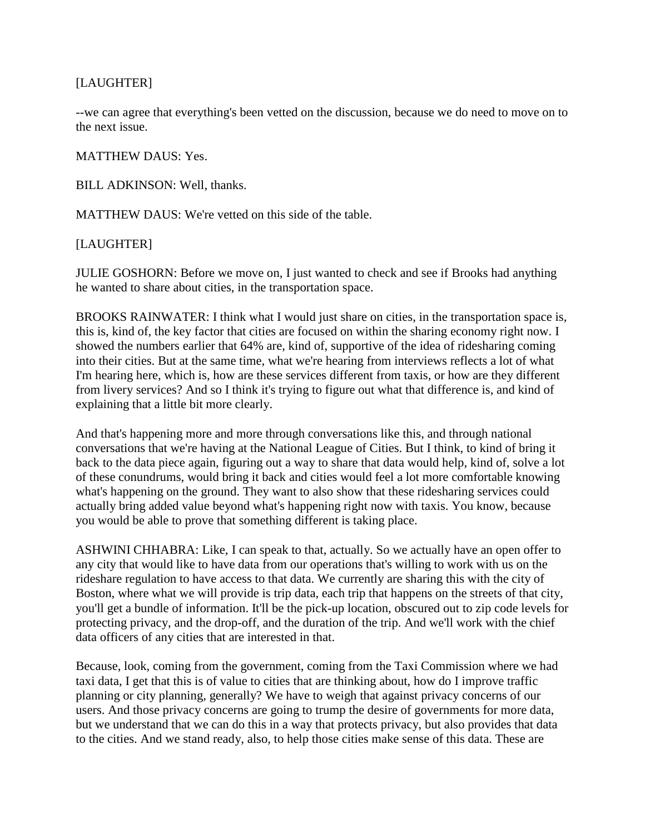## [LAUGHTER]

--we can agree that everything's been vetted on the discussion, because we do need to move on to the next issue.

MATTHEW DAUS: Yes.

BILL ADKINSON: Well, thanks.

MATTHEW DAUS: We're vetted on this side of the table.

### [LAUGHTER]

JULIE GOSHORN: Before we move on, I just wanted to check and see if Brooks had anything he wanted to share about cities, in the transportation space.

BROOKS RAINWATER: I think what I would just share on cities, in the transportation space is, this is, kind of, the key factor that cities are focused on within the sharing economy right now. I showed the numbers earlier that 64% are, kind of, supportive of the idea of ridesharing coming into their cities. But at the same time, what we're hearing from interviews reflects a lot of what I'm hearing here, which is, how are these services different from taxis, or how are they different from livery services? And so I think it's trying to figure out what that difference is, and kind of explaining that a little bit more clearly.

And that's happening more and more through conversations like this, and through national conversations that we're having at the National League of Cities. But I think, to kind of bring it back to the data piece again, figuring out a way to share that data would help, kind of, solve a lot of these conundrums, would bring it back and cities would feel a lot more comfortable knowing what's happening on the ground. They want to also show that these ridesharing services could actually bring added value beyond what's happening right now with taxis. You know, because you would be able to prove that something different is taking place.

ASHWINI CHHABRA: Like, I can speak to that, actually. So we actually have an open offer to any city that would like to have data from our operations that's willing to work with us on the rideshare regulation to have access to that data. We currently are sharing this with the city of Boston, where what we will provide is trip data, each trip that happens on the streets of that city, you'll get a bundle of information. It'll be the pick-up location, obscured out to zip code levels for protecting privacy, and the drop-off, and the duration of the trip. And we'll work with the chief data officers of any cities that are interested in that.

Because, look, coming from the government, coming from the Taxi Commission where we had taxi data, I get that this is of value to cities that are thinking about, how do I improve traffic planning or city planning, generally? We have to weigh that against privacy concerns of our users. And those privacy concerns are going to trump the desire of governments for more data, but we understand that we can do this in a way that protects privacy, but also provides that data to the cities. And we stand ready, also, to help those cities make sense of this data. These are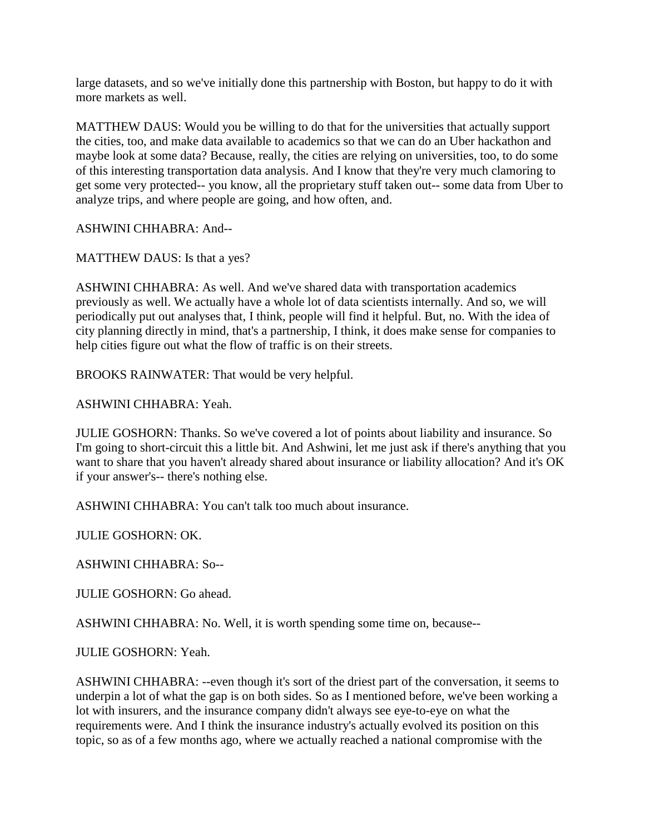large datasets, and so we've initially done this partnership with Boston, but happy to do it with more markets as well.

MATTHEW DAUS: Would you be willing to do that for the universities that actually support the cities, too, and make data available to academics so that we can do an Uber hackathon and maybe look at some data? Because, really, the cities are relying on universities, too, to do some of this interesting transportation data analysis. And I know that they're very much clamoring to get some very protected-- you know, all the proprietary stuff taken out-- some data from Uber to analyze trips, and where people are going, and how often, and.

ASHWINI CHHABRA: And--

MATTHEW DAUS: Is that a yes?

ASHWINI CHHABRA: As well. And we've shared data with transportation academics previously as well. We actually have a whole lot of data scientists internally. And so, we will periodically put out analyses that, I think, people will find it helpful. But, no. With the idea of city planning directly in mind, that's a partnership, I think, it does make sense for companies to help cities figure out what the flow of traffic is on their streets.

BROOKS RAINWATER: That would be very helpful.

ASHWINI CHHABRA: Yeah.

JULIE GOSHORN: Thanks. So we've covered a lot of points about liability and insurance. So I'm going to short-circuit this a little bit. And Ashwini, let me just ask if there's anything that you want to share that you haven't already shared about insurance or liability allocation? And it's OK if your answer's-- there's nothing else.

ASHWINI CHHABRA: You can't talk too much about insurance.

JULIE GOSHORN: OK.

ASHWINI CHHABRA: So--

JULIE GOSHORN: Go ahead.

ASHWINI CHHABRA: No. Well, it is worth spending some time on, because--

JULIE GOSHORN: Yeah.

ASHWINI CHHABRA: --even though it's sort of the driest part of the conversation, it seems to underpin a lot of what the gap is on both sides. So as I mentioned before, we've been working a lot with insurers, and the insurance company didn't always see eye-to-eye on what the requirements were. And I think the insurance industry's actually evolved its position on this topic, so as of a few months ago, where we actually reached a national compromise with the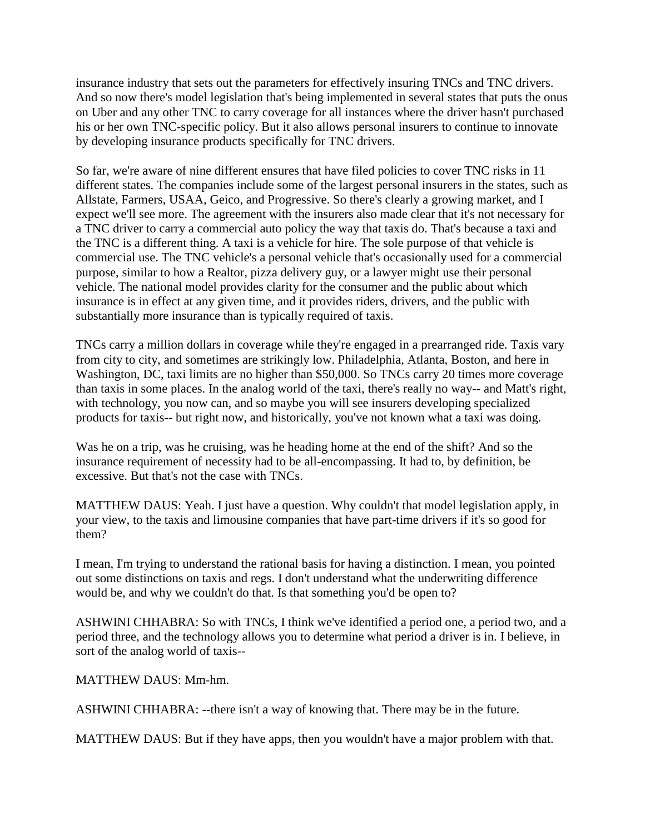insurance industry that sets out the parameters for effectively insuring TNCs and TNC drivers. And so now there's model legislation that's being implemented in several states that puts the onus on Uber and any other TNC to carry coverage for all instances where the driver hasn't purchased his or her own TNC-specific policy. But it also allows personal insurers to continue to innovate by developing insurance products specifically for TNC drivers.

So far, we're aware of nine different ensures that have filed policies to cover TNC risks in 11 different states. The companies include some of the largest personal insurers in the states, such as Allstate, Farmers, USAA, Geico, and Progressive. So there's clearly a growing market, and I expect we'll see more. The agreement with the insurers also made clear that it's not necessary for a TNC driver to carry a commercial auto policy the way that taxis do. That's because a taxi and the TNC is a different thing. A taxi is a vehicle for hire. The sole purpose of that vehicle is commercial use. The TNC vehicle's a personal vehicle that's occasionally used for a commercial purpose, similar to how a Realtor, pizza delivery guy, or a lawyer might use their personal vehicle. The national model provides clarity for the consumer and the public about which insurance is in effect at any given time, and it provides riders, drivers, and the public with substantially more insurance than is typically required of taxis.

TNCs carry a million dollars in coverage while they're engaged in a prearranged ride. Taxis vary from city to city, and sometimes are strikingly low. Philadelphia, Atlanta, Boston, and here in Washington, DC, taxi limits are no higher than \$50,000. So TNCs carry 20 times more coverage than taxis in some places. In the analog world of the taxi, there's really no way-- and Matt's right, with technology, you now can, and so maybe you will see insurers developing specialized products for taxis-- but right now, and historically, you've not known what a taxi was doing.

Was he on a trip, was he cruising, was he heading home at the end of the shift? And so the insurance requirement of necessity had to be all-encompassing. It had to, by definition, be excessive. But that's not the case with TNCs.

MATTHEW DAUS: Yeah. I just have a question. Why couldn't that model legislation apply, in your view, to the taxis and limousine companies that have part-time drivers if it's so good for them?

I mean, I'm trying to understand the rational basis for having a distinction. I mean, you pointed out some distinctions on taxis and regs. I don't understand what the underwriting difference would be, and why we couldn't do that. Is that something you'd be open to?

ASHWINI CHHABRA: So with TNCs, I think we've identified a period one, a period two, and a period three, and the technology allows you to determine what period a driver is in. I believe, in sort of the analog world of taxis--

MATTHEW DAUS: Mm-hm.

ASHWINI CHHABRA: --there isn't a way of knowing that. There may be in the future.

MATTHEW DAUS: But if they have apps, then you wouldn't have a major problem with that.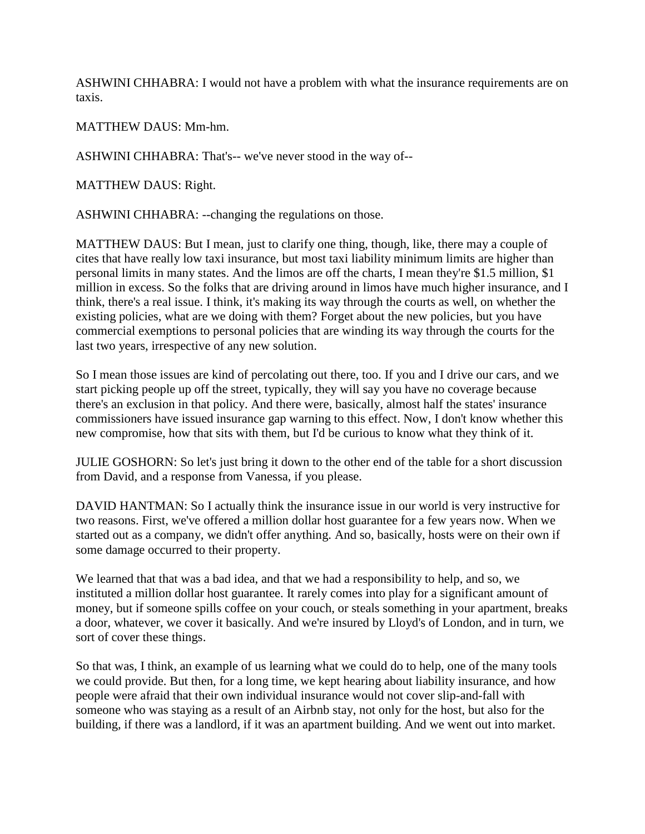ASHWINI CHHABRA: I would not have a problem with what the insurance requirements are on taxis.

MATTHEW DAUS: Mm-hm.

ASHWINI CHHABRA: That's-- we've never stood in the way of--

MATTHEW DAUS: Right.

ASHWINI CHHABRA: --changing the regulations on those.

MATTHEW DAUS: But I mean, just to clarify one thing, though, like, there may a couple of cites that have really low taxi insurance, but most taxi liability minimum limits are higher than personal limits in many states. And the limos are off the charts, I mean they're \$1.5 million, \$1 million in excess. So the folks that are driving around in limos have much higher insurance, and I think, there's a real issue. I think, it's making its way through the courts as well, on whether the existing policies, what are we doing with them? Forget about the new policies, but you have commercial exemptions to personal policies that are winding its way through the courts for the last two years, irrespective of any new solution.

So I mean those issues are kind of percolating out there, too. If you and I drive our cars, and we start picking people up off the street, typically, they will say you have no coverage because there's an exclusion in that policy. And there were, basically, almost half the states' insurance commissioners have issued insurance gap warning to this effect. Now, I don't know whether this new compromise, how that sits with them, but I'd be curious to know what they think of it.

JULIE GOSHORN: So let's just bring it down to the other end of the table for a short discussion from David, and a response from Vanessa, if you please.

DAVID HANTMAN: So I actually think the insurance issue in our world is very instructive for two reasons. First, we've offered a million dollar host guarantee for a few years now. When we started out as a company, we didn't offer anything. And so, basically, hosts were on their own if some damage occurred to their property.

We learned that that was a bad idea, and that we had a responsibility to help, and so, we instituted a million dollar host guarantee. It rarely comes into play for a significant amount of money, but if someone spills coffee on your couch, or steals something in your apartment, breaks a door, whatever, we cover it basically. And we're insured by Lloyd's of London, and in turn, we sort of cover these things.

So that was, I think, an example of us learning what we could do to help, one of the many tools we could provide. But then, for a long time, we kept hearing about liability insurance, and how people were afraid that their own individual insurance would not cover slip-and-fall with someone who was staying as a result of an Airbnb stay, not only for the host, but also for the building, if there was a landlord, if it was an apartment building. And we went out into market.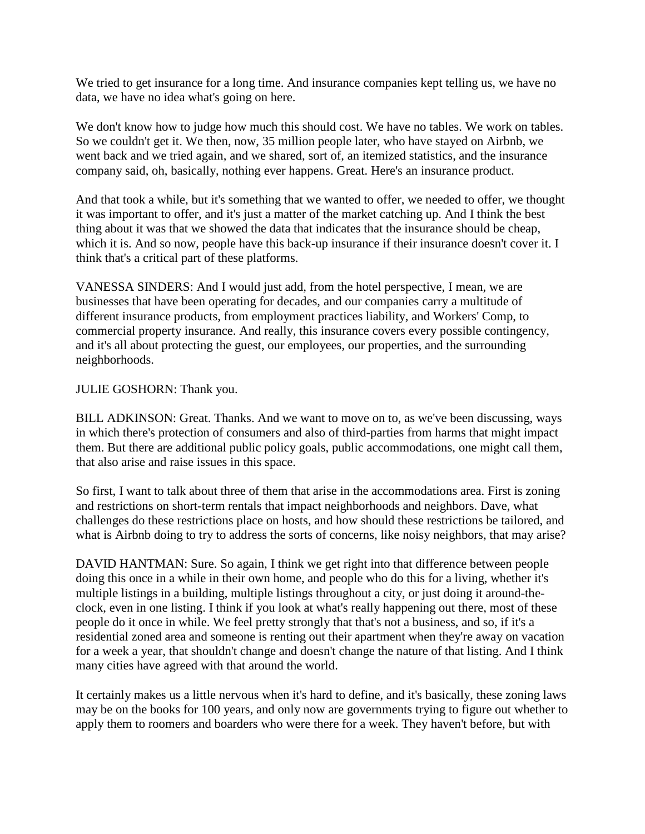We tried to get insurance for a long time. And insurance companies kept telling us, we have no data, we have no idea what's going on here.

We don't know how to judge how much this should cost. We have no tables. We work on tables. So we couldn't get it. We then, now, 35 million people later, who have stayed on Airbnb, we went back and we tried again, and we shared, sort of, an itemized statistics, and the insurance company said, oh, basically, nothing ever happens. Great. Here's an insurance product.

And that took a while, but it's something that we wanted to offer, we needed to offer, we thought it was important to offer, and it's just a matter of the market catching up. And I think the best thing about it was that we showed the data that indicates that the insurance should be cheap, which it is. And so now, people have this back-up insurance if their insurance doesn't cover it. I think that's a critical part of these platforms.

VANESSA SINDERS: And I would just add, from the hotel perspective, I mean, we are businesses that have been operating for decades, and our companies carry a multitude of different insurance products, from employment practices liability, and Workers' Comp, to commercial property insurance. And really, this insurance covers every possible contingency, and it's all about protecting the guest, our employees, our properties, and the surrounding neighborhoods.

#### JULIE GOSHORN: Thank you.

BILL ADKINSON: Great. Thanks. And we want to move on to, as we've been discussing, ways in which there's protection of consumers and also of third-parties from harms that might impact them. But there are additional public policy goals, public accommodations, one might call them, that also arise and raise issues in this space.

So first, I want to talk about three of them that arise in the accommodations area. First is zoning and restrictions on short-term rentals that impact neighborhoods and neighbors. Dave, what challenges do these restrictions place on hosts, and how should these restrictions be tailored, and what is Airbnb doing to try to address the sorts of concerns, like noisy neighbors, that may arise?

DAVID HANTMAN: Sure. So again, I think we get right into that difference between people doing this once in a while in their own home, and people who do this for a living, whether it's multiple listings in a building, multiple listings throughout a city, or just doing it around-theclock, even in one listing. I think if you look at what's really happening out there, most of these people do it once in while. We feel pretty strongly that that's not a business, and so, if it's a residential zoned area and someone is renting out their apartment when they're away on vacation for a week a year, that shouldn't change and doesn't change the nature of that listing. And I think many cities have agreed with that around the world.

It certainly makes us a little nervous when it's hard to define, and it's basically, these zoning laws may be on the books for 100 years, and only now are governments trying to figure out whether to apply them to roomers and boarders who were there for a week. They haven't before, but with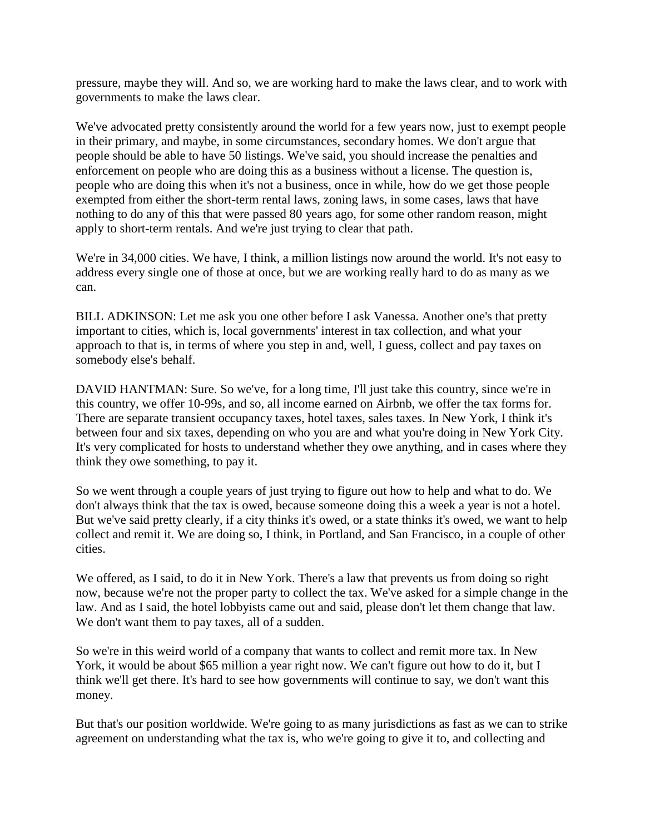pressure, maybe they will. And so, we are working hard to make the laws clear, and to work with governments to make the laws clear.

We've advocated pretty consistently around the world for a few years now, just to exempt people in their primary, and maybe, in some circumstances, secondary homes. We don't argue that people should be able to have 50 listings. We've said, you should increase the penalties and enforcement on people who are doing this as a business without a license. The question is, people who are doing this when it's not a business, once in while, how do we get those people exempted from either the short-term rental laws, zoning laws, in some cases, laws that have nothing to do any of this that were passed 80 years ago, for some other random reason, might apply to short-term rentals. And we're just trying to clear that path.

We're in 34,000 cities. We have, I think, a million listings now around the world. It's not easy to address every single one of those at once, but we are working really hard to do as many as we can.

BILL ADKINSON: Let me ask you one other before I ask Vanessa. Another one's that pretty important to cities, which is, local governments' interest in tax collection, and what your approach to that is, in terms of where you step in and, well, I guess, collect and pay taxes on somebody else's behalf.

DAVID HANTMAN: Sure. So we've, for a long time, I'll just take this country, since we're in this country, we offer 10-99s, and so, all income earned on Airbnb, we offer the tax forms for. There are separate transient occupancy taxes, hotel taxes, sales taxes. In New York, I think it's between four and six taxes, depending on who you are and what you're doing in New York City. It's very complicated for hosts to understand whether they owe anything, and in cases where they think they owe something, to pay it.

So we went through a couple years of just trying to figure out how to help and what to do. We don't always think that the tax is owed, because someone doing this a week a year is not a hotel. But we've said pretty clearly, if a city thinks it's owed, or a state thinks it's owed, we want to help collect and remit it. We are doing so, I think, in Portland, and San Francisco, in a couple of other cities.

We offered, as I said, to do it in New York. There's a law that prevents us from doing so right now, because we're not the proper party to collect the tax. We've asked for a simple change in the law. And as I said, the hotel lobbyists came out and said, please don't let them change that law. We don't want them to pay taxes, all of a sudden.

So we're in this weird world of a company that wants to collect and remit more tax. In New York, it would be about \$65 million a year right now. We can't figure out how to do it, but I think we'll get there. It's hard to see how governments will continue to say, we don't want this money.

But that's our position worldwide. We're going to as many jurisdictions as fast as we can to strike agreement on understanding what the tax is, who we're going to give it to, and collecting and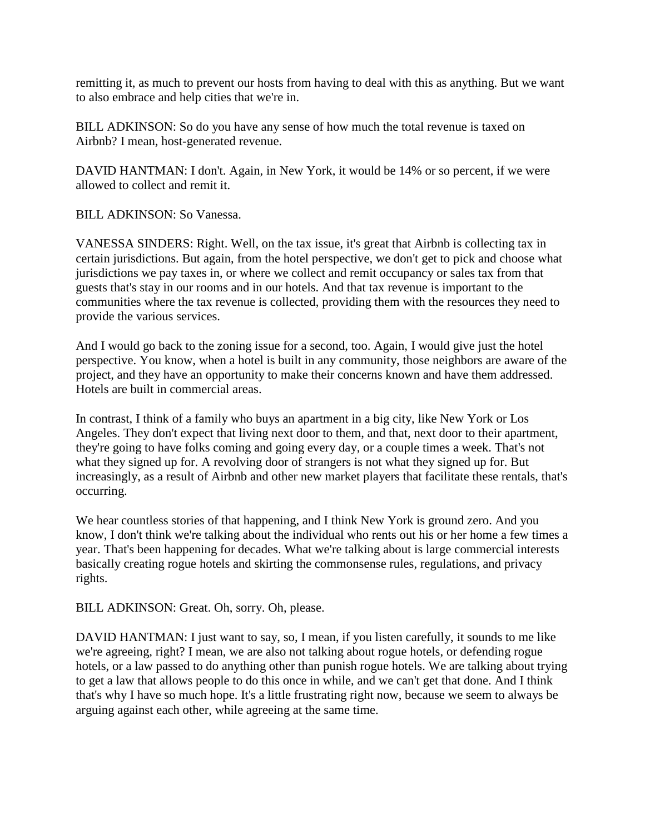remitting it, as much to prevent our hosts from having to deal with this as anything. But we want to also embrace and help cities that we're in.

BILL ADKINSON: So do you have any sense of how much the total revenue is taxed on Airbnb? I mean, host-generated revenue.

DAVID HANTMAN: I don't. Again, in New York, it would be 14% or so percent, if we were allowed to collect and remit it.

BILL ADKINSON: So Vanessa.

VANESSA SINDERS: Right. Well, on the tax issue, it's great that Airbnb is collecting tax in certain jurisdictions. But again, from the hotel perspective, we don't get to pick and choose what jurisdictions we pay taxes in, or where we collect and remit occupancy or sales tax from that guests that's stay in our rooms and in our hotels. And that tax revenue is important to the communities where the tax revenue is collected, providing them with the resources they need to provide the various services.

And I would go back to the zoning issue for a second, too. Again, I would give just the hotel perspective. You know, when a hotel is built in any community, those neighbors are aware of the project, and they have an opportunity to make their concerns known and have them addressed. Hotels are built in commercial areas.

In contrast, I think of a family who buys an apartment in a big city, like New York or Los Angeles. They don't expect that living next door to them, and that, next door to their apartment, they're going to have folks coming and going every day, or a couple times a week. That's not what they signed up for. A revolving door of strangers is not what they signed up for. But increasingly, as a result of Airbnb and other new market players that facilitate these rentals, that's occurring.

We hear countless stories of that happening, and I think New York is ground zero. And you know, I don't think we're talking about the individual who rents out his or her home a few times a year. That's been happening for decades. What we're talking about is large commercial interests basically creating rogue hotels and skirting the commonsense rules, regulations, and privacy rights.

BILL ADKINSON: Great. Oh, sorry. Oh, please.

DAVID HANTMAN: I just want to say, so, I mean, if you listen carefully, it sounds to me like we're agreeing, right? I mean, we are also not talking about rogue hotels, or defending rogue hotels, or a law passed to do anything other than punish rogue hotels. We are talking about trying to get a law that allows people to do this once in while, and we can't get that done. And I think that's why I have so much hope. It's a little frustrating right now, because we seem to always be arguing against each other, while agreeing at the same time.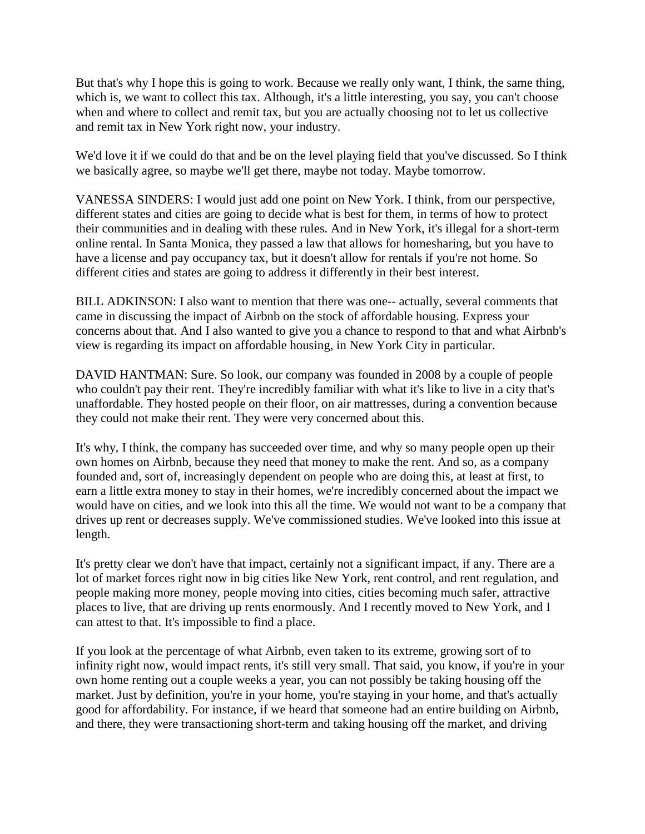But that's why I hope this is going to work. Because we really only want, I think, the same thing, which is, we want to collect this tax. Although, it's a little interesting, you say, you can't choose when and where to collect and remit tax, but you are actually choosing not to let us collective and remit tax in New York right now, your industry.

We'd love it if we could do that and be on the level playing field that you've discussed. So I think we basically agree, so maybe we'll get there, maybe not today. Maybe tomorrow.

VANESSA SINDERS: I would just add one point on New York. I think, from our perspective, different states and cities are going to decide what is best for them, in terms of how to protect their communities and in dealing with these rules. And in New York, it's illegal for a short-term online rental. In Santa Monica, they passed a law that allows for homesharing, but you have to have a license and pay occupancy tax, but it doesn't allow for rentals if you're not home. So different cities and states are going to address it differently in their best interest.

BILL ADKINSON: I also want to mention that there was one-- actually, several comments that came in discussing the impact of Airbnb on the stock of affordable housing. Express your concerns about that. And I also wanted to give you a chance to respond to that and what Airbnb's view is regarding its impact on affordable housing, in New York City in particular.

DAVID HANTMAN: Sure. So look, our company was founded in 2008 by a couple of people who couldn't pay their rent. They're incredibly familiar with what it's like to live in a city that's unaffordable. They hosted people on their floor, on air mattresses, during a convention because they could not make their rent. They were very concerned about this.

It's why, I think, the company has succeeded over time, and why so many people open up their own homes on Airbnb, because they need that money to make the rent. And so, as a company founded and, sort of, increasingly dependent on people who are doing this, at least at first, to earn a little extra money to stay in their homes, we're incredibly concerned about the impact we would have on cities, and we look into this all the time. We would not want to be a company that drives up rent or decreases supply. We've commissioned studies. We've looked into this issue at length.

It's pretty clear we don't have that impact, certainly not a significant impact, if any. There are a lot of market forces right now in big cities like New York, rent control, and rent regulation, and people making more money, people moving into cities, cities becoming much safer, attractive places to live, that are driving up rents enormously. And I recently moved to New York, and I can attest to that. It's impossible to find a place.

If you look at the percentage of what Airbnb, even taken to its extreme, growing sort of to infinity right now, would impact rents, it's still very small. That said, you know, if you're in your own home renting out a couple weeks a year, you can not possibly be taking housing off the market. Just by definition, you're in your home, you're staying in your home, and that's actually good for affordability. For instance, if we heard that someone had an entire building on Airbnb, and there, they were transactioning short-term and taking housing off the market, and driving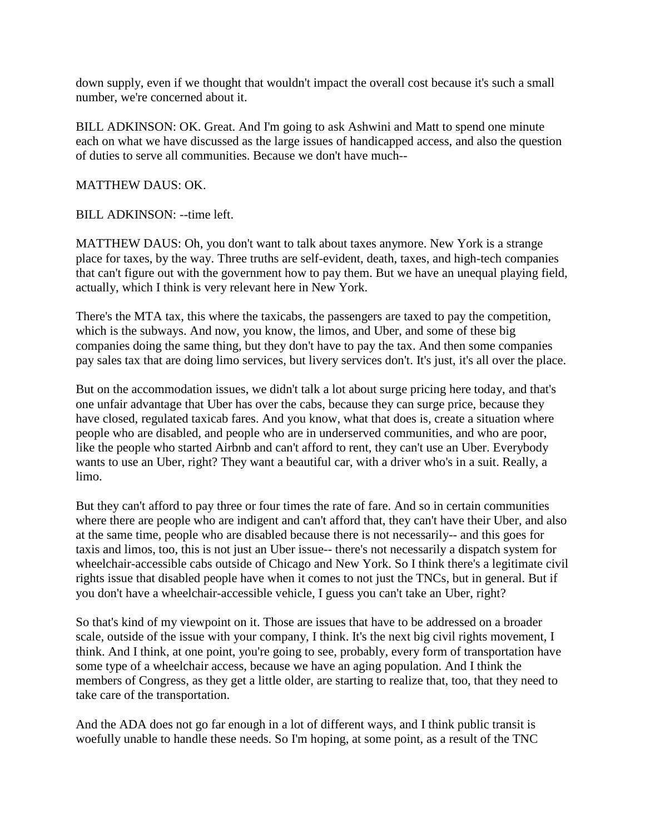down supply, even if we thought that wouldn't impact the overall cost because it's such a small number, we're concerned about it.

BILL ADKINSON: OK. Great. And I'm going to ask Ashwini and Matt to spend one minute each on what we have discussed as the large issues of handicapped access, and also the question of duties to serve all communities. Because we don't have much--

MATTHEW DAUS: OK.

BILL ADKINSON: --time left.

MATTHEW DAUS: Oh, you don't want to talk about taxes anymore. New York is a strange place for taxes, by the way. Three truths are self-evident, death, taxes, and high-tech companies that can't figure out with the government how to pay them. But we have an unequal playing field, actually, which I think is very relevant here in New York.

There's the MTA tax, this where the taxicabs, the passengers are taxed to pay the competition, which is the subways. And now, you know, the limos, and Uber, and some of these big companies doing the same thing, but they don't have to pay the tax. And then some companies pay sales tax that are doing limo services, but livery services don't. It's just, it's all over the place.

But on the accommodation issues, we didn't talk a lot about surge pricing here today, and that's one unfair advantage that Uber has over the cabs, because they can surge price, because they have closed, regulated taxicab fares. And you know, what that does is, create a situation where people who are disabled, and people who are in underserved communities, and who are poor, like the people who started Airbnb and can't afford to rent, they can't use an Uber. Everybody wants to use an Uber, right? They want a beautiful car, with a driver who's in a suit. Really, a limo.

But they can't afford to pay three or four times the rate of fare. And so in certain communities where there are people who are indigent and can't afford that, they can't have their Uber, and also at the same time, people who are disabled because there is not necessarily-- and this goes for taxis and limos, too, this is not just an Uber issue-- there's not necessarily a dispatch system for wheelchair-accessible cabs outside of Chicago and New York. So I think there's a legitimate civil rights issue that disabled people have when it comes to not just the TNCs, but in general. But if you don't have a wheelchair-accessible vehicle, I guess you can't take an Uber, right?

So that's kind of my viewpoint on it. Those are issues that have to be addressed on a broader scale, outside of the issue with your company, I think. It's the next big civil rights movement, I think. And I think, at one point, you're going to see, probably, every form of transportation have some type of a wheelchair access, because we have an aging population. And I think the members of Congress, as they get a little older, are starting to realize that, too, that they need to take care of the transportation.

And the ADA does not go far enough in a lot of different ways, and I think public transit is woefully unable to handle these needs. So I'm hoping, at some point, as a result of the TNC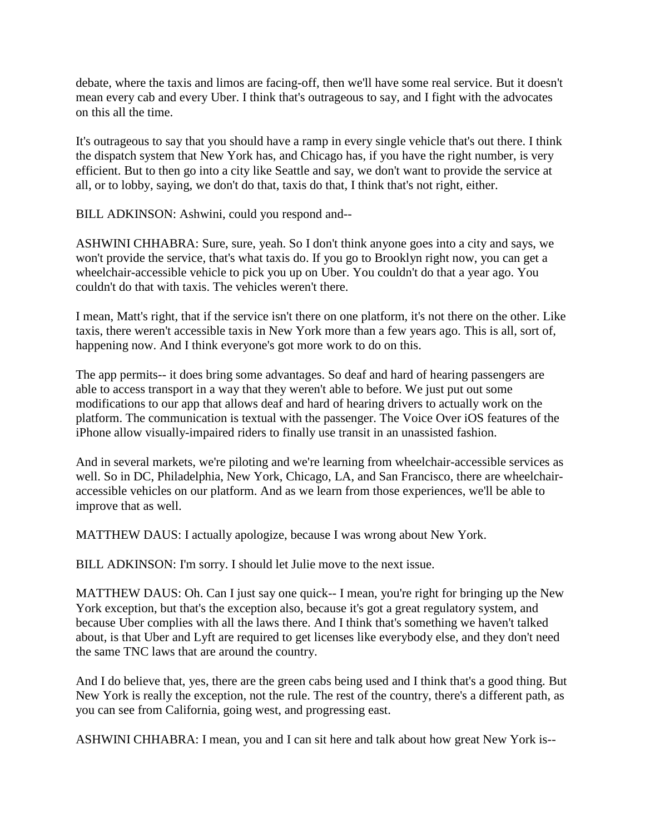debate, where the taxis and limos are facing-off, then we'll have some real service. But it doesn't mean every cab and every Uber. I think that's outrageous to say, and I fight with the advocates on this all the time.

It's outrageous to say that you should have a ramp in every single vehicle that's out there. I think the dispatch system that New York has, and Chicago has, if you have the right number, is very efficient. But to then go into a city like Seattle and say, we don't want to provide the service at all, or to lobby, saying, we don't do that, taxis do that, I think that's not right, either.

BILL ADKINSON: Ashwini, could you respond and--

ASHWINI CHHABRA: Sure, sure, yeah. So I don't think anyone goes into a city and says, we won't provide the service, that's what taxis do. If you go to Brooklyn right now, you can get a wheelchair-accessible vehicle to pick you up on Uber. You couldn't do that a year ago. You couldn't do that with taxis. The vehicles weren't there.

I mean, Matt's right, that if the service isn't there on one platform, it's not there on the other. Like taxis, there weren't accessible taxis in New York more than a few years ago. This is all, sort of, happening now. And I think everyone's got more work to do on this.

The app permits-- it does bring some advantages. So deaf and hard of hearing passengers are able to access transport in a way that they weren't able to before. We just put out some modifications to our app that allows deaf and hard of hearing drivers to actually work on the platform. The communication is textual with the passenger. The Voice Over iOS features of the iPhone allow visually-impaired riders to finally use transit in an unassisted fashion.

And in several markets, we're piloting and we're learning from wheelchair-accessible services as well. So in DC, Philadelphia, New York, Chicago, LA, and San Francisco, there are wheelchairaccessible vehicles on our platform. And as we learn from those experiences, we'll be able to improve that as well.

MATTHEW DAUS: I actually apologize, because I was wrong about New York.

BILL ADKINSON: I'm sorry. I should let Julie move to the next issue.

MATTHEW DAUS: Oh. Can I just say one quick-- I mean, you're right for bringing up the New York exception, but that's the exception also, because it's got a great regulatory system, and because Uber complies with all the laws there. And I think that's something we haven't talked about, is that Uber and Lyft are required to get licenses like everybody else, and they don't need the same TNC laws that are around the country.

And I do believe that, yes, there are the green cabs being used and I think that's a good thing. But New York is really the exception, not the rule. The rest of the country, there's a different path, as you can see from California, going west, and progressing east.

ASHWINI CHHABRA: I mean, you and I can sit here and talk about how great New York is--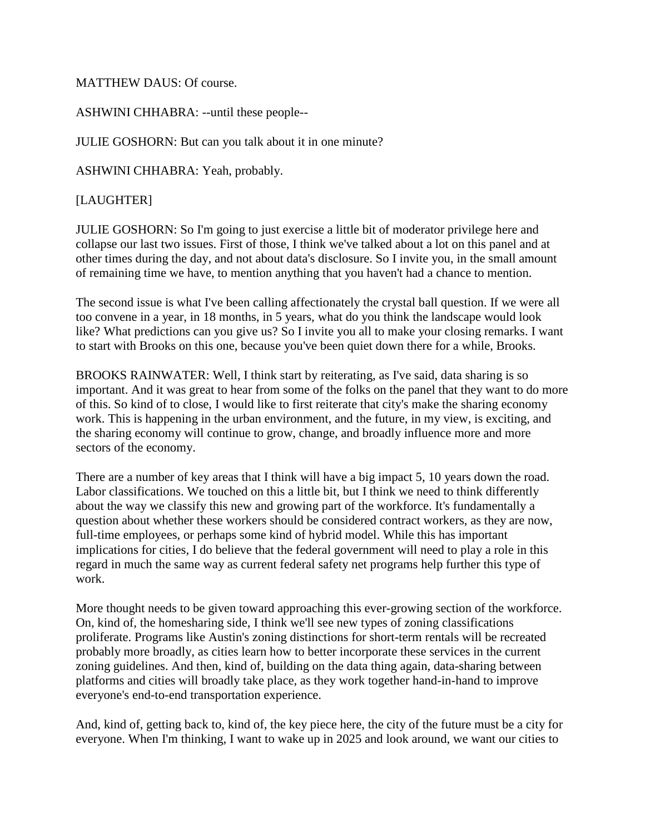### MATTHEW DAUS: Of course.

ASHWINI CHHABRA: --until these people--

JULIE GOSHORN: But can you talk about it in one minute?

ASHWINI CHHABRA: Yeah, probably.

[LAUGHTER]

JULIE GOSHORN: So I'm going to just exercise a little bit of moderator privilege here and collapse our last two issues. First of those, I think we've talked about a lot on this panel and at other times during the day, and not about data's disclosure. So I invite you, in the small amount of remaining time we have, to mention anything that you haven't had a chance to mention.

The second issue is what I've been calling affectionately the crystal ball question. If we were all too convene in a year, in 18 months, in 5 years, what do you think the landscape would look like? What predictions can you give us? So I invite you all to make your closing remarks. I want to start with Brooks on this one, because you've been quiet down there for a while, Brooks.

BROOKS RAINWATER: Well, I think start by reiterating, as I've said, data sharing is so important. And it was great to hear from some of the folks on the panel that they want to do more of this. So kind of to close, I would like to first reiterate that city's make the sharing economy work. This is happening in the urban environment, and the future, in my view, is exciting, and the sharing economy will continue to grow, change, and broadly influence more and more sectors of the economy.

There are a number of key areas that I think will have a big impact 5, 10 years down the road. Labor classifications. We touched on this a little bit, but I think we need to think differently about the way we classify this new and growing part of the workforce. It's fundamentally a question about whether these workers should be considered contract workers, as they are now, full-time employees, or perhaps some kind of hybrid model. While this has important implications for cities, I do believe that the federal government will need to play a role in this regard in much the same way as current federal safety net programs help further this type of work.

More thought needs to be given toward approaching this ever-growing section of the workforce. On, kind of, the homesharing side, I think we'll see new types of zoning classifications proliferate. Programs like Austin's zoning distinctions for short-term rentals will be recreated probably more broadly, as cities learn how to better incorporate these services in the current zoning guidelines. And then, kind of, building on the data thing again, data-sharing between platforms and cities will broadly take place, as they work together hand-in-hand to improve everyone's end-to-end transportation experience.

And, kind of, getting back to, kind of, the key piece here, the city of the future must be a city for everyone. When I'm thinking, I want to wake up in 2025 and look around, we want our cities to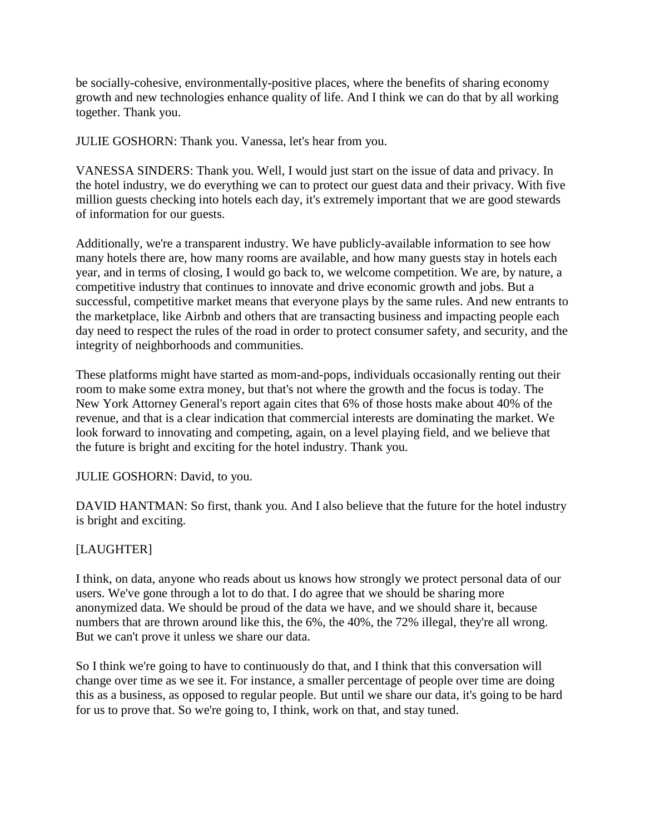be socially-cohesive, environmentally-positive places, where the benefits of sharing economy growth and new technologies enhance quality of life. And I think we can do that by all working together. Thank you.

JULIE GOSHORN: Thank you. Vanessa, let's hear from you.

VANESSA SINDERS: Thank you. Well, I would just start on the issue of data and privacy. In the hotel industry, we do everything we can to protect our guest data and their privacy. With five million guests checking into hotels each day, it's extremely important that we are good stewards of information for our guests.

Additionally, we're a transparent industry. We have publicly-available information to see how many hotels there are, how many rooms are available, and how many guests stay in hotels each year, and in terms of closing, I would go back to, we welcome competition. We are, by nature, a competitive industry that continues to innovate and drive economic growth and jobs. But a successful, competitive market means that everyone plays by the same rules. And new entrants to the marketplace, like Airbnb and others that are transacting business and impacting people each day need to respect the rules of the road in order to protect consumer safety, and security, and the integrity of neighborhoods and communities.

These platforms might have started as mom-and-pops, individuals occasionally renting out their room to make some extra money, but that's not where the growth and the focus is today. The New York Attorney General's report again cites that 6% of those hosts make about 40% of the revenue, and that is a clear indication that commercial interests are dominating the market. We look forward to innovating and competing, again, on a level playing field, and we believe that the future is bright and exciting for the hotel industry. Thank you.

JULIE GOSHORN: David, to you.

DAVID HANTMAN: So first, thank you. And I also believe that the future for the hotel industry is bright and exciting.

### [LAUGHTER]

I think, on data, anyone who reads about us knows how strongly we protect personal data of our users. We've gone through a lot to do that. I do agree that we should be sharing more anonymized data. We should be proud of the data we have, and we should share it, because numbers that are thrown around like this, the 6%, the 40%, the 72% illegal, they're all wrong. But we can't prove it unless we share our data.

So I think we're going to have to continuously do that, and I think that this conversation will change over time as we see it. For instance, a smaller percentage of people over time are doing this as a business, as opposed to regular people. But until we share our data, it's going to be hard for us to prove that. So we're going to, I think, work on that, and stay tuned.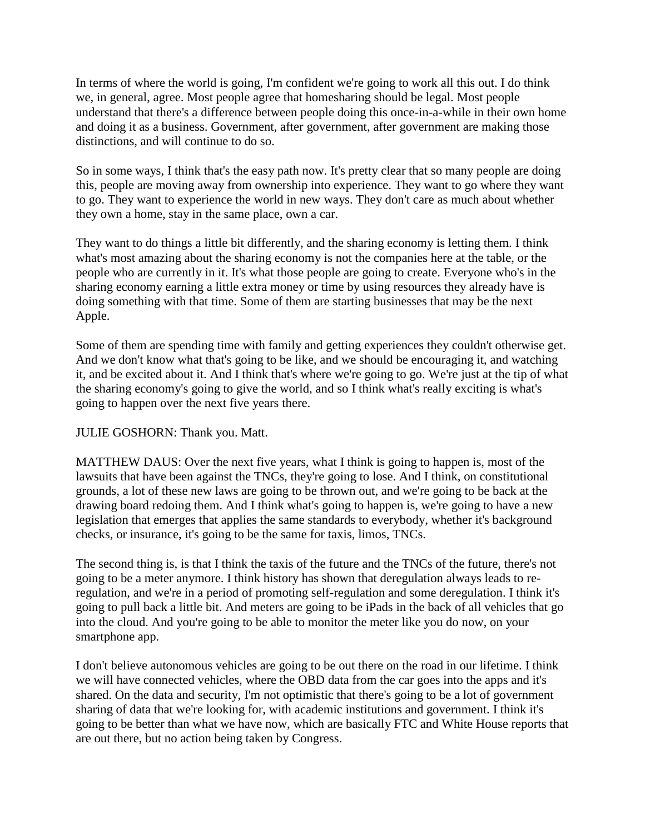In terms of where the world is going, I'm confident we're going to work all this out. I do think we, in general, agree. Most people agree that homesharing should be legal. Most people understand that there's a difference between people doing this once-in-a-while in their own home and doing it as a business. Government, after government, after government are making those distinctions, and will continue to do so.

So in some ways, I think that's the easy path now. It's pretty clear that so many people are doing this, people are moving away from ownership into experience. They want to go where they want to go. They want to experience the world in new ways. They don't care as much about whether they own a home, stay in the same place, own a car.

They want to do things a little bit differently, and the sharing economy is letting them. I think what's most amazing about the sharing economy is not the companies here at the table, or the people who are currently in it. It's what those people are going to create. Everyone who's in the sharing economy earning a little extra money or time by using resources they already have is doing something with that time. Some of them are starting businesses that may be the next Apple.

Some of them are spending time with family and getting experiences they couldn't otherwise get. And we don't know what that's going to be like, and we should be encouraging it, and watching it, and be excited about it. And I think that's where we're going to go. We're just at the tip of what the sharing economy's going to give the world, and so I think what's really exciting is what's going to happen over the next five years there.

### JULIE GOSHORN: Thank you. Matt.

MATTHEW DAUS: Over the next five years, what I think is going to happen is, most of the lawsuits that have been against the TNCs, they're going to lose. And I think, on constitutional grounds, a lot of these new laws are going to be thrown out, and we're going to be back at the drawing board redoing them. And I think what's going to happen is, we're going to have a new legislation that emerges that applies the same standards to everybody, whether it's background checks, or insurance, it's going to be the same for taxis, limos, TNCs.

The second thing is, is that I think the taxis of the future and the TNCs of the future, there's not going to be a meter anymore. I think history has shown that deregulation always leads to reregulation, and we're in a period of promoting self-regulation and some deregulation. I think it's going to pull back a little bit. And meters are going to be iPads in the back of all vehicles that go into the cloud. And you're going to be able to monitor the meter like you do now, on your smartphone app.

I don't believe autonomous vehicles are going to be out there on the road in our lifetime. I think we will have connected vehicles, where the OBD data from the car goes into the apps and it's shared. On the data and security, I'm not optimistic that there's going to be a lot of government sharing of data that we're looking for, with academic institutions and government. I think it's going to be better than what we have now, which are basically FTC and White House reports that are out there, but no action being taken by Congress.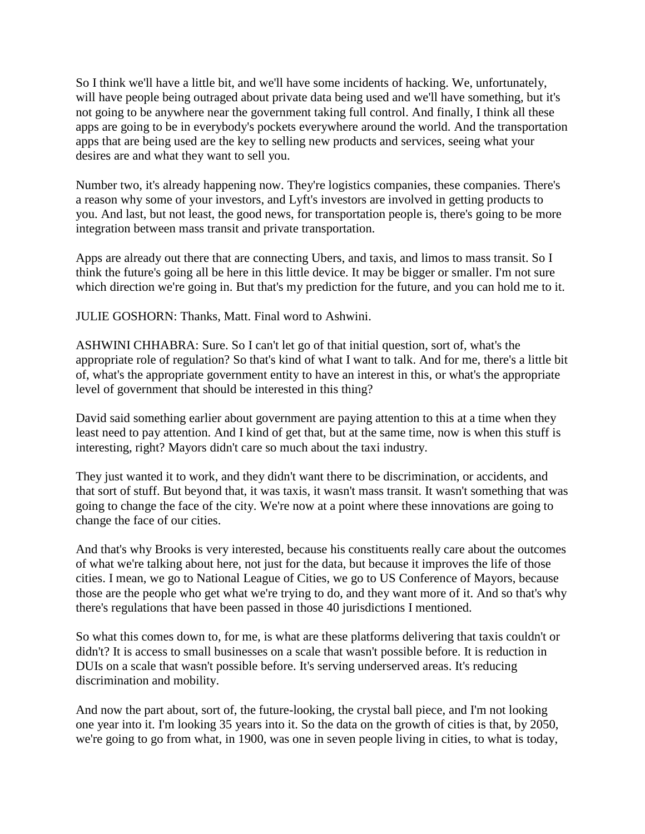So I think we'll have a little bit, and we'll have some incidents of hacking. We, unfortunately, will have people being outraged about private data being used and we'll have something, but it's not going to be anywhere near the government taking full control. And finally, I think all these apps are going to be in everybody's pockets everywhere around the world. And the transportation apps that are being used are the key to selling new products and services, seeing what your desires are and what they want to sell you.

Number two, it's already happening now. They're logistics companies, these companies. There's a reason why some of your investors, and Lyft's investors are involved in getting products to you. And last, but not least, the good news, for transportation people is, there's going to be more integration between mass transit and private transportation.

Apps are already out there that are connecting Ubers, and taxis, and limos to mass transit. So I think the future's going all be here in this little device. It may be bigger or smaller. I'm not sure which direction we're going in. But that's my prediction for the future, and you can hold me to it.

JULIE GOSHORN: Thanks, Matt. Final word to Ashwini.

ASHWINI CHHABRA: Sure. So I can't let go of that initial question, sort of, what's the appropriate role of regulation? So that's kind of what I want to talk. And for me, there's a little bit of, what's the appropriate government entity to have an interest in this, or what's the appropriate level of government that should be interested in this thing?

David said something earlier about government are paying attention to this at a time when they least need to pay attention. And I kind of get that, but at the same time, now is when this stuff is interesting, right? Mayors didn't care so much about the taxi industry.

They just wanted it to work, and they didn't want there to be discrimination, or accidents, and that sort of stuff. But beyond that, it was taxis, it wasn't mass transit. It wasn't something that was going to change the face of the city. We're now at a point where these innovations are going to change the face of our cities.

And that's why Brooks is very interested, because his constituents really care about the outcomes of what we're talking about here, not just for the data, but because it improves the life of those cities. I mean, we go to National League of Cities, we go to US Conference of Mayors, because those are the people who get what we're trying to do, and they want more of it. And so that's why there's regulations that have been passed in those 40 jurisdictions I mentioned.

So what this comes down to, for me, is what are these platforms delivering that taxis couldn't or didn't? It is access to small businesses on a scale that wasn't possible before. It is reduction in DUIs on a scale that wasn't possible before. It's serving underserved areas. It's reducing discrimination and mobility.

And now the part about, sort of, the future-looking, the crystal ball piece, and I'm not looking one year into it. I'm looking 35 years into it. So the data on the growth of cities is that, by 2050, we're going to go from what, in 1900, was one in seven people living in cities, to what is today,